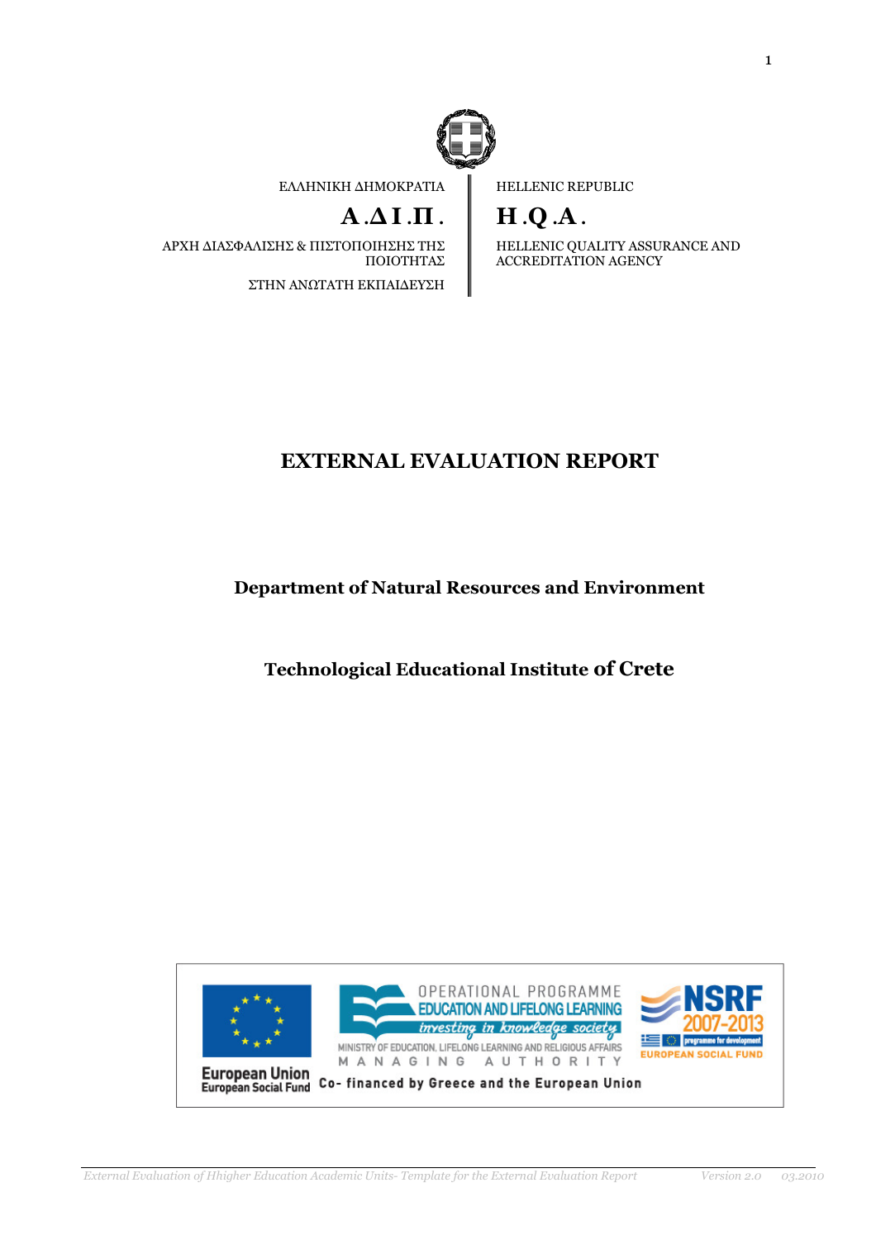

ΕΛΛΗΝΙΚΗ ∆ΗΜΟΚΡΑΤΙΑ

# $A \Delta I \cdot \Pi$ .

ΑΡΧΗ ∆ΙΑΣΦΑΛΙΣΗΣ & ΠΙΣΤΟΠΟΙΗΣΗΣ ΤΗΣ ΠΟΙΟΤΗΤΑΣ ΣΤΗΝ ΑΝΩΤΑΤΗ ΕΚΠΑΙ∆ΕΥΣΗ

HELLENIC REPUBLIC

H .Q .A .

HELLENIC QUALITY ASSURANCE AND ACCREDITATION AGENCY

# EXTERNAL EVALUATION REPORT

Department of Natural Resources and Environment

Technological Educational Institute of Crete

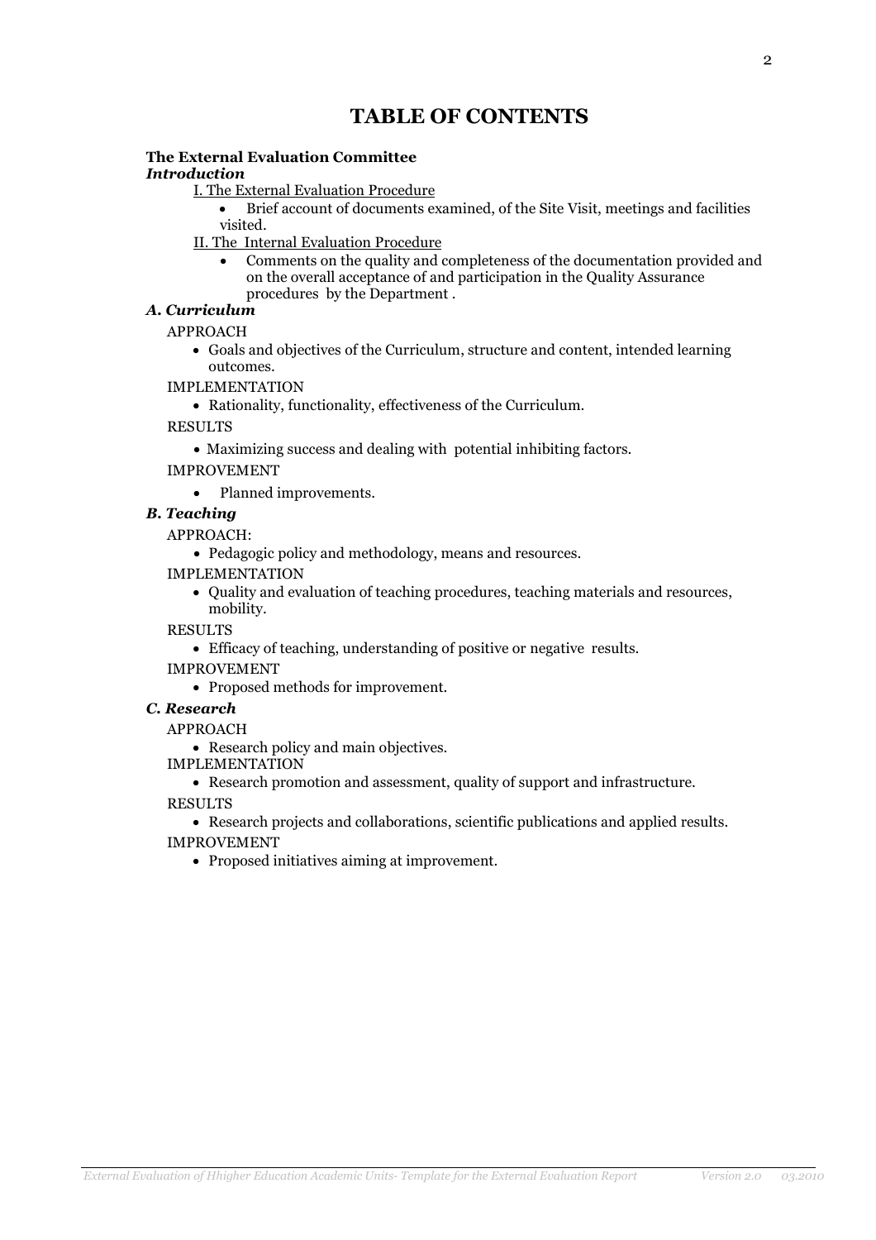# TABLE OF CONTENTS

# The External Evaluation Committee

### Introduction

I. The External Evaluation Procedure

- Brief account of documents examined, of the Site Visit, meetings and facilities visited.
- II. The Internal Evaluation Procedure
	- Comments on the quality and completeness of the documentation provided and on the overall acceptance of and participation in the Quality Assurance procedures by the Department .

# Α. Curriculum

### APPROACH

- Goals and objectives of the Curriculum, structure and content, intended learning outcomes.
- IMPLEMENTATION
	- Rationality, functionality, effectiveness of the Curriculum.

RESULTS

• Maximizing success and dealing with potential inhibiting factors.

### IMPROVEMENT

• Planned improvements.

B. Teaching

APPROACH:

- Pedagogic policy and methodology, means and resources.
- IMPLEMENTATION
	- Quality and evaluation of teaching procedures, teaching materials and resources, mobility.

RESULTS

- Efficacy of teaching, understanding of positive or negative results.
- IMPROVEMENT
	- Proposed methods for improvement.

#### C. Research

APPROACH

• Research policy and main objectives.

IMPLEMENTATION

• Research promotion and assessment, quality of support and infrastructure.

RESULTS

• Research projects and collaborations, scientific publications and applied results. IMPROVEMENT

• Proposed initiatives aiming at improvement.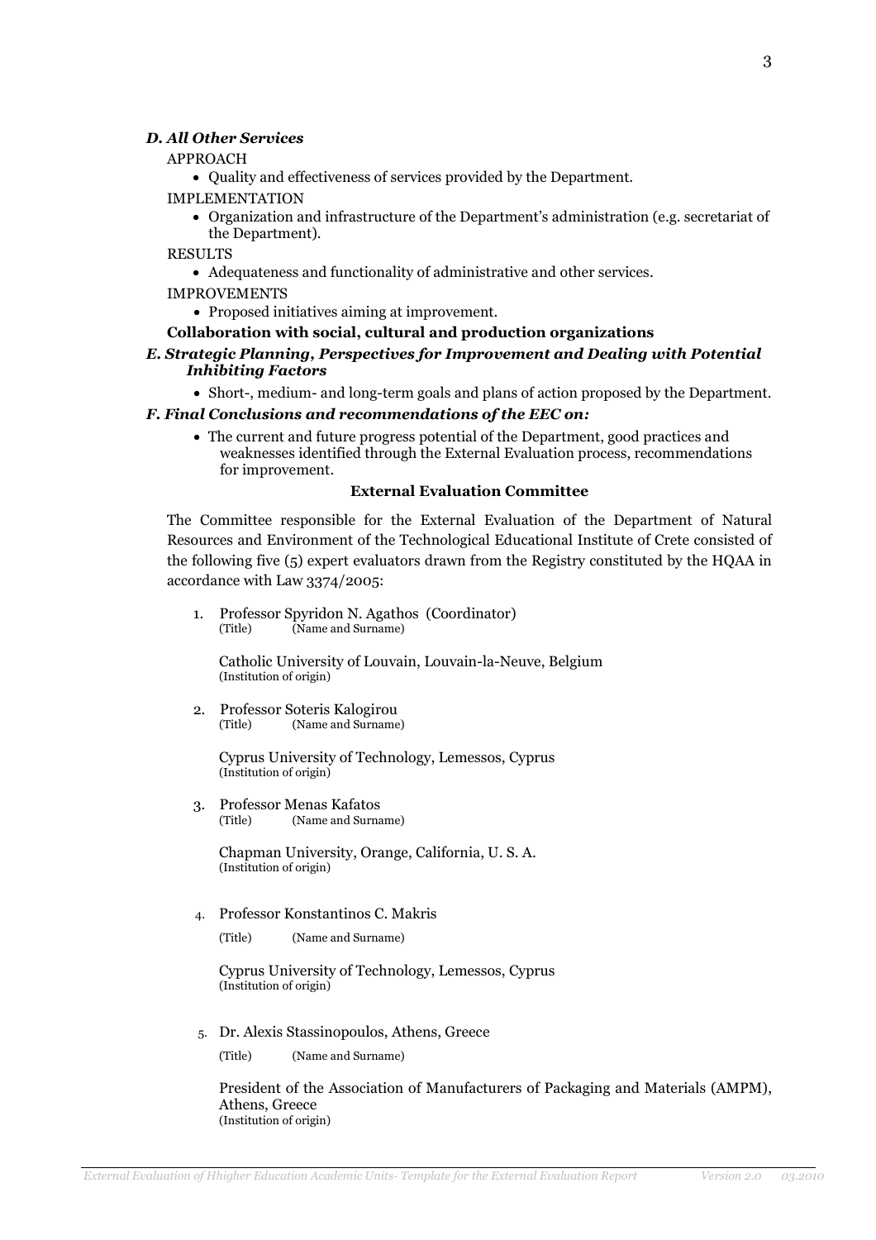#### D. All Other Services

#### APPROACH

• Quality and effectiveness of services provided by the Department.

- IMPLEMENTATION
	- Organization and infrastructure of the Department's administration (e.g. secretariat of the Department).

RESULTS

• Adequateness and functionality of administrative and other services.

IMPROVEMENTS

- Proposed initiatives aiming at improvement.
- Collaboration with social, cultural and production organizations

#### E. Strategic Planning, Perspectives for Improvement and Dealing with Potential Inhibiting Factors

• Short-, medium- and long-term goals and plans of action proposed by the Department.

#### F. Final Conclusions and recommendations of the EEC on:

• The current and future progress potential of the Department, good practices and weaknesses identified through the External Evaluation process, recommendations for improvement.

#### External Evaluation Committee

The Committee responsible for the External Evaluation of the Department of Natural Resources and Environment of the Technological Educational Institute of Crete consisted of the following five (5) expert evaluators drawn from the Registry constituted by the HQAA in accordance with Law 3374/2005:

1. Professor Spyridon N. Agathos (Coordinator)<br>(Title) (Name and Surname) (Name and Surname)

Catholic University of Louvain, Louvain-la-Neuve, Belgium (Institution of origin)

2. Professor Soteris Kalogirou<br>(Title) (Name and Surname) (Name and Surname)

> Cyprus University of Technology, Lemessos, Cyprus (Institution of origin)

3. Professor Menas Kafatos<br>(Title) (Name and Surns (Name and Surname)

> Chapman University, Orange, California, U. S. A. (Institution of origin)

4. Professor Konstantinos C. Makris

(Title) (Name and Surname)

Cyprus University of Technology, Lemessos, Cyprus (Institution of origin)

5. Dr. Alexis Stassinopoulos, Athens, Greece

(Title) (Name and Surname)

President of the Association of Manufacturers of Packaging and Materials (AMPM), Athens, Greece (Institution of origin)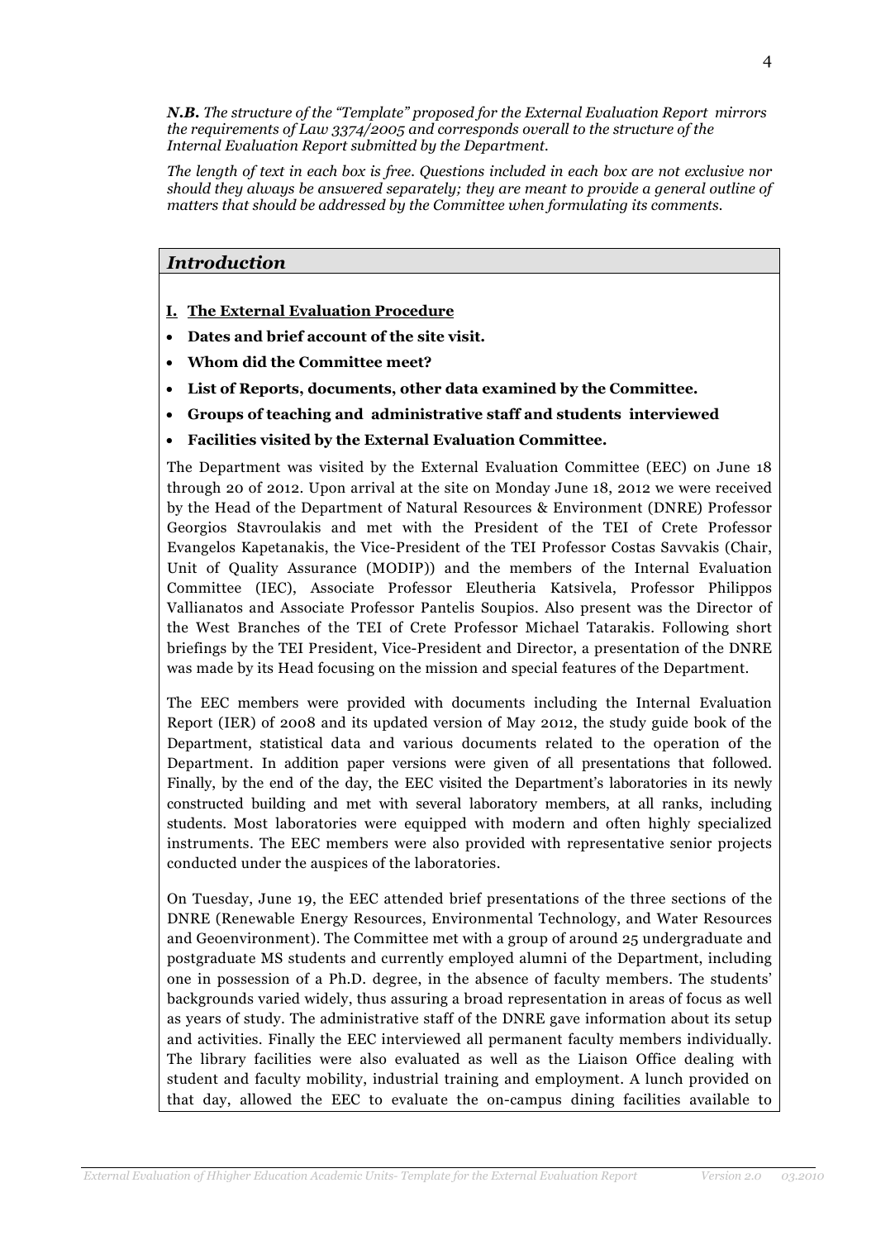N.B. The structure of the "Template" proposed for the External Evaluation Report mirrors the requirements of Law 3374/2005 and corresponds overall to the structure of the Internal Evaluation Report submitted by the Department.

The length of text in each box is free. Questions included in each box are not exclusive nor should they always be answered separately; they are meant to provide a general outline of matters that should be addressed by the Committee when formulating its comments.

## Introduction

- I. The External Evaluation Procedure
- Dates and brief account of the site visit.
- Whom did the Committee meet?
- List of Reports, documents, other data examined by the Committee.
- Groups of teaching and administrative staff and students interviewed
- Facilities visited by the External Evaluation Committee.

The Department was visited by the External Evaluation Committee (EEC) on June 18 through 20 of 2012. Upon arrival at the site on Monday June 18, 2012 we were received by the Head of the Department of Natural Resources & Environment (DNRE) Professor Georgios Stavroulakis and met with the President of the TEI of Crete Professor Evangelos Kapetanakis, the Vice-President of the TEI Professor Costas Savvakis (Chair, Unit of Quality Assurance (MODIP)) and the members of the Internal Evaluation Committee (IEC), Associate Professor Eleutheria Katsivela, Professor Philippos Vallianatos and Associate Professor Pantelis Soupios. Also present was the Director of the West Branches of the TEI of Crete Professor Michael Tatarakis. Following short briefings by the TEI President, Vice-President and Director, a presentation of the DNRE was made by its Head focusing on the mission and special features of the Department.

The EEC members were provided with documents including the Internal Evaluation Report (IER) of 2008 and its updated version of May 2012, the study guide book of the Department, statistical data and various documents related to the operation of the Department. In addition paper versions were given of all presentations that followed. Finally, by the end of the day, the EEC visited the Department's laboratories in its newly constructed building and met with several laboratory members, at all ranks, including students. Most laboratories were equipped with modern and often highly specialized instruments. The EEC members were also provided with representative senior projects conducted under the auspices of the laboratories.

On Tuesday, June 19, the EEC attended brief presentations of the three sections of the DNRE (Renewable Energy Resources, Environmental Technology, and Water Resources and Geoenvironment). The Committee met with a group of around 25 undergraduate and postgraduate MS students and currently employed alumni of the Department, including one in possession of a Ph.D. degree, in the absence of faculty members. The students' backgrounds varied widely, thus assuring a broad representation in areas of focus as well as years of study. The administrative staff of the DNRE gave information about its setup and activities. Finally the EEC interviewed all permanent faculty members individually. The library facilities were also evaluated as well as the Liaison Office dealing with student and faculty mobility, industrial training and employment. A lunch provided on that day, allowed the EEC to evaluate the on-campus dining facilities available to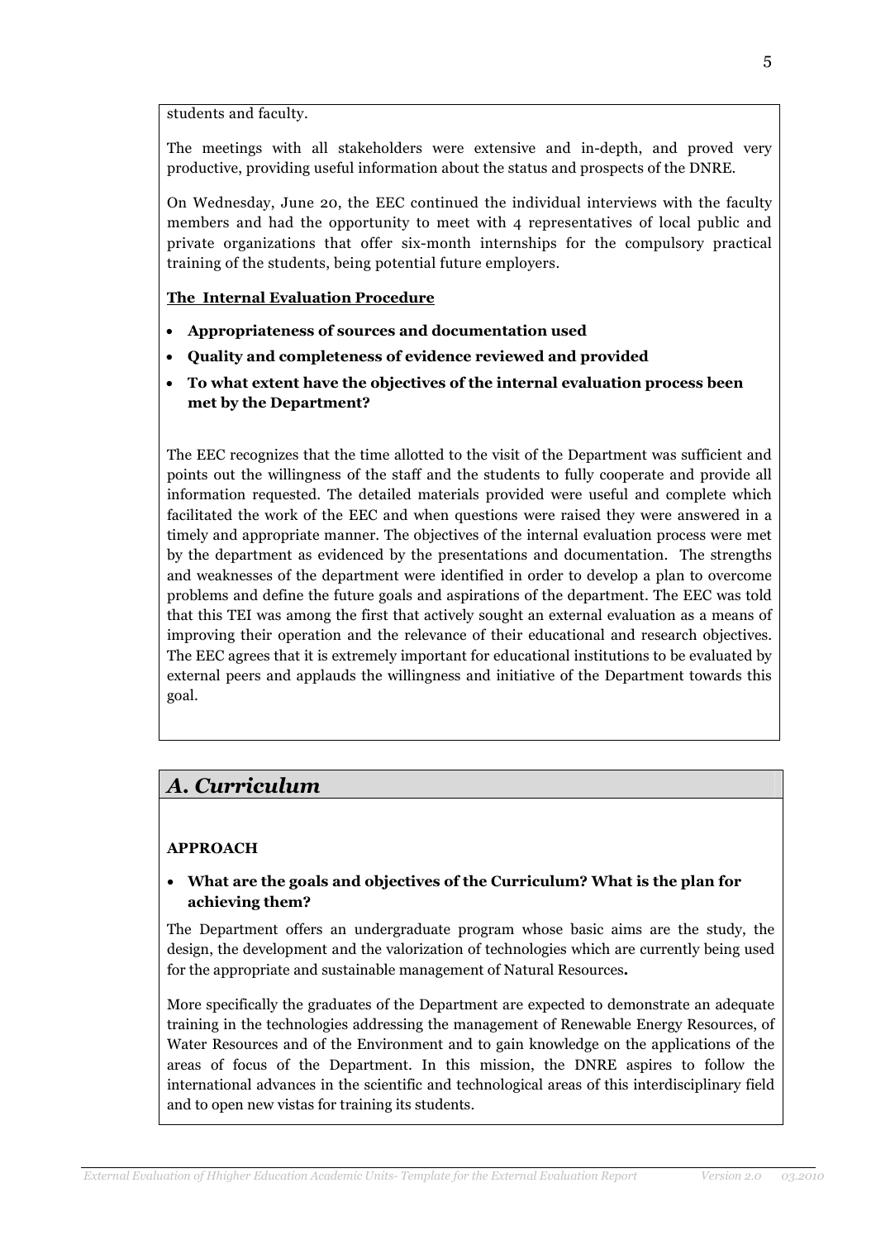students and faculty.

The meetings with all stakeholders were extensive and in-depth, and proved very productive, providing useful information about the status and prospects of the DNRE.

On Wednesday, June 20, the EEC continued the individual interviews with the faculty members and had the opportunity to meet with 4 representatives of local public and private organizations that offer six-month internships for the compulsory practical training of the students, being potential future employers.

#### The Internal Evaluation Procedure

- Appropriateness of sources and documentation used
- Quality and completeness of evidence reviewed and provided
- To what extent have the objectives of the internal evaluation process been met by the Department?

The EEC recognizes that the time allotted to the visit of the Department was sufficient and points out the willingness of the staff and the students to fully cooperate and provide all information requested. The detailed materials provided were useful and complete which facilitated the work of the EEC and when questions were raised they were answered in a timely and appropriate manner. The objectives of the internal evaluation process were met by the department as evidenced by the presentations and documentation. The strengths and weaknesses of the department were identified in order to develop a plan to overcome problems and define the future goals and aspirations of the department. The EEC was told that this TEI was among the first that actively sought an external evaluation as a means of improving their operation and the relevance of their educational and research objectives. The EEC agrees that it is extremely important for educational institutions to be evaluated by external peers and applauds the willingness and initiative of the Department towards this goal.

# Α. Curriculum

## APPROACH

• What are the goals and objectives of the Curriculum? What is the plan for achieving them?

The Department offers an undergraduate program whose basic aims are the study, the design, the development and the valorization of technologies which are currently being used for the appropriate and sustainable management of Natural Resources.

More specifically the graduates of the Department are expected to demonstrate an adequate training in the technologies addressing the management of Renewable Energy Resources, of Water Resources and of the Environment and to gain knowledge on the applications of the areas of focus of the Department. In this mission, the DNRE aspires to follow the international advances in the scientific and technological areas of this interdisciplinary field and to open new vistas for training its students.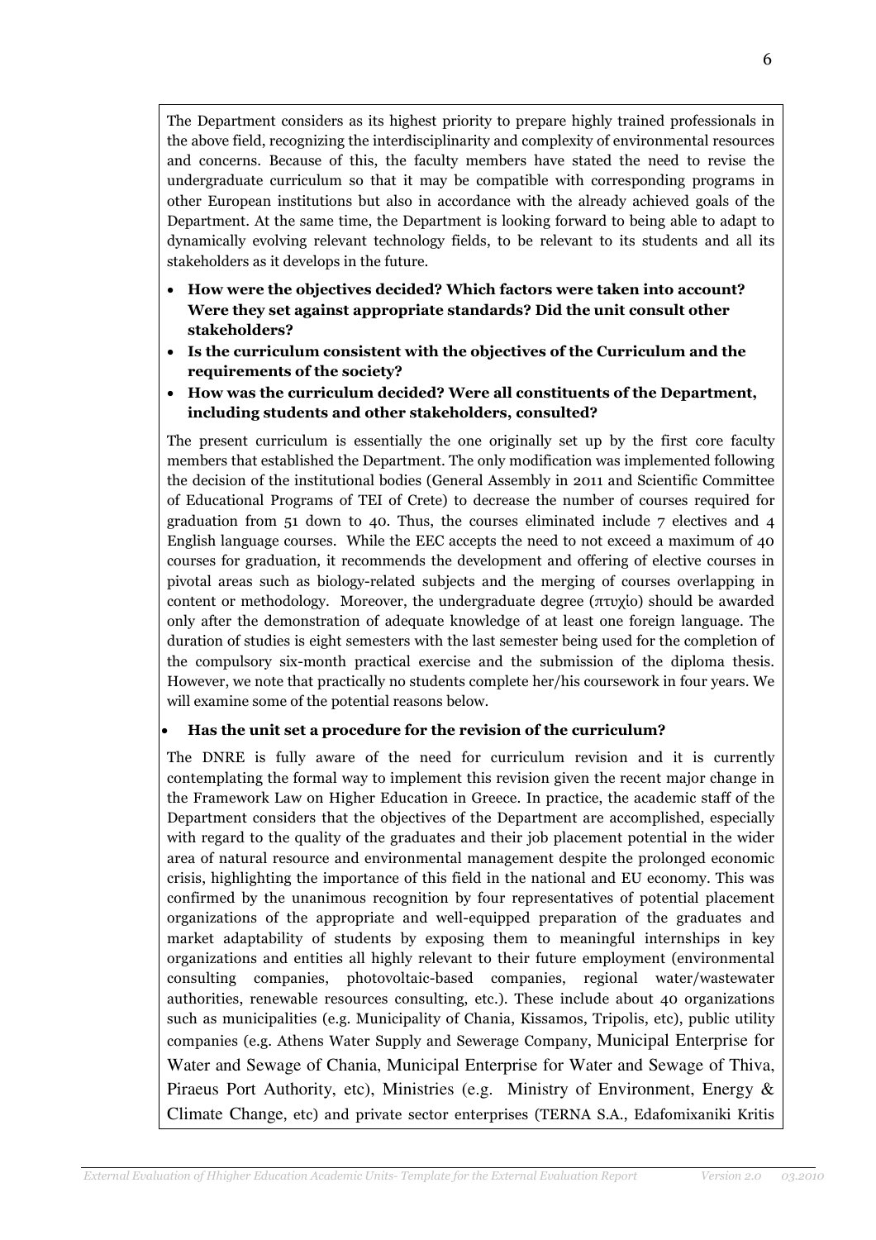The Department considers as its highest priority to prepare highly trained professionals in the above field, recognizing the interdisciplinarity and complexity of environmental resources and concerns. Because of this, the faculty members have stated the need to revise the undergraduate curriculum so that it may be compatible with corresponding programs in other European institutions but also in accordance with the already achieved goals of the Department. At the same time, the Department is looking forward to being able to adapt to dynamically evolving relevant technology fields, to be relevant to its students and all its stakeholders as it develops in the future.

- How were the objectives decided? Which factors were taken into account? Were they set against appropriate standards? Did the unit consult other stakeholders?
- Is the curriculum consistent with the objectives of the Curriculum and the requirements of the society?
- How was the curriculum decided? Were all constituents of the Department, including students and other stakeholders, consulted?

The present curriculum is essentially the one originally set up by the first core faculty members that established the Department. The only modification was implemented following the decision of the institutional bodies (General Assembly in 2011 and Scientific Committee of Educational Programs of TEI of Crete) to decrease the number of courses required for graduation from 51 down to 40. Thus, the courses eliminated include 7 electives and 4 English language courses. While the EEC accepts the need to not exceed a maximum of 40 courses for graduation, it recommends the development and offering of elective courses in pivotal areas such as biology-related subjects and the merging of courses overlapping in content or methodology. Moreover, the undergraduate degree (πτυχίο) should be awarded only after the demonstration of adequate knowledge of at least one foreign language. The duration of studies is eight semesters with the last semester being used for the completion of the compulsory six-month practical exercise and the submission of the diploma thesis. However, we note that practically no students complete her/his coursework in four years. We will examine some of the potential reasons below.

## • Has the unit set a procedure for the revision of the curriculum?

The DNRE is fully aware of the need for curriculum revision and it is currently contemplating the formal way to implement this revision given the recent major change in the Framework Law on Higher Education in Greece. In practice, the academic staff of the Department considers that the objectives of the Department are accomplished, especially with regard to the quality of the graduates and their job placement potential in the wider area of natural resource and environmental management despite the prolonged economic crisis, highlighting the importance of this field in the national and EU economy. This was confirmed by the unanimous recognition by four representatives of potential placement organizations of the appropriate and well-equipped preparation of the graduates and market adaptability of students by exposing them to meaningful internships in key organizations and entities all highly relevant to their future employment (environmental consulting companies, photovoltaic-based companies, regional water/wastewater authorities, renewable resources consulting, etc.). These include about 40 organizations such as municipalities (e.g. Municipality of Chania, Kissamos, Tripolis, etc), public utility companies (e.g. Athens Water Supply and Sewerage Company, Municipal Enterprise for Water and Sewage of Chania, Municipal Enterprise for Water and Sewage of Thiva, Piraeus Port Authority, etc), Ministries (e.g. Ministry of Environment, Energy & Climate Change, etc) and private sector enterprises (TERNA S.A., Edafomixaniki Kritis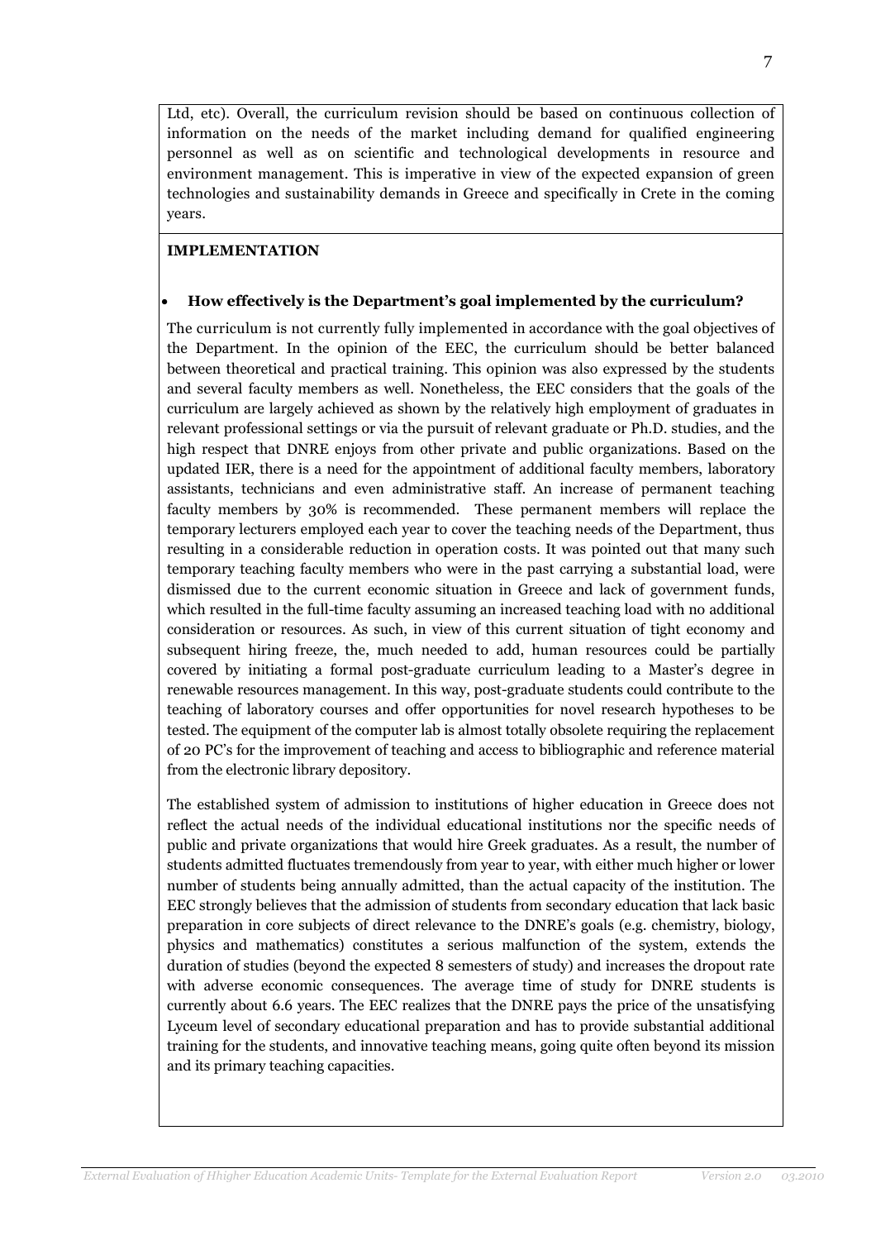Ltd, etc). Overall, the curriculum revision should be based on continuous collection of information on the needs of the market including demand for qualified engineering personnel as well as on scientific and technological developments in resource and environment management. This is imperative in view of the expected expansion of green technologies and sustainability demands in Greece and specifically in Crete in the coming years.

# IMPLEMENTATION

# • How effectively is the Department's goal implemented by the curriculum?

The curriculum is not currently fully implemented in accordance with the goal objectives of the Department. In the opinion of the EEC, the curriculum should be better balanced between theoretical and practical training. This opinion was also expressed by the students and several faculty members as well. Nonetheless, the EEC considers that the goals of the curriculum are largely achieved as shown by the relatively high employment of graduates in relevant professional settings or via the pursuit of relevant graduate or Ph.D. studies, and the high respect that DNRE enjoys from other private and public organizations. Based on the updated IER, there is a need for the appointment of additional faculty members, laboratory assistants, technicians and even administrative staff. An increase of permanent teaching faculty members by 30% is recommended. These permanent members will replace the temporary lecturers employed each year to cover the teaching needs of the Department, thus resulting in a considerable reduction in operation costs. It was pointed out that many such temporary teaching faculty members who were in the past carrying a substantial load, were dismissed due to the current economic situation in Greece and lack of government funds, which resulted in the full-time faculty assuming an increased teaching load with no additional consideration or resources. As such, in view of this current situation of tight economy and subsequent hiring freeze, the, much needed to add, human resources could be partially covered by initiating a formal post-graduate curriculum leading to a Master's degree in renewable resources management. In this way, post-graduate students could contribute to the teaching of laboratory courses and offer opportunities for novel research hypotheses to be tested. The equipment of the computer lab is almost totally obsolete requiring the replacement of 20 PC's for the improvement of teaching and access to bibliographic and reference material from the electronic library depository.

The established system of admission to institutions of higher education in Greece does not reflect the actual needs of the individual educational institutions nor the specific needs of public and private organizations that would hire Greek graduates. As a result, the number of students admitted fluctuates tremendously from year to year, with either much higher or lower number of students being annually admitted, than the actual capacity of the institution. The EEC strongly believes that the admission of students from secondary education that lack basic preparation in core subjects of direct relevance to the DNRE's goals (e.g. chemistry, biology, physics and mathematics) constitutes a serious malfunction of the system, extends the duration of studies (beyond the expected 8 semesters of study) and increases the dropout rate with adverse economic consequences. The average time of study for DNRE students is currently about 6.6 years. The EEC realizes that the DNRE pays the price of the unsatisfying Lyceum level of secondary educational preparation and has to provide substantial additional training for the students, and innovative teaching means, going quite often beyond its mission and its primary teaching capacities.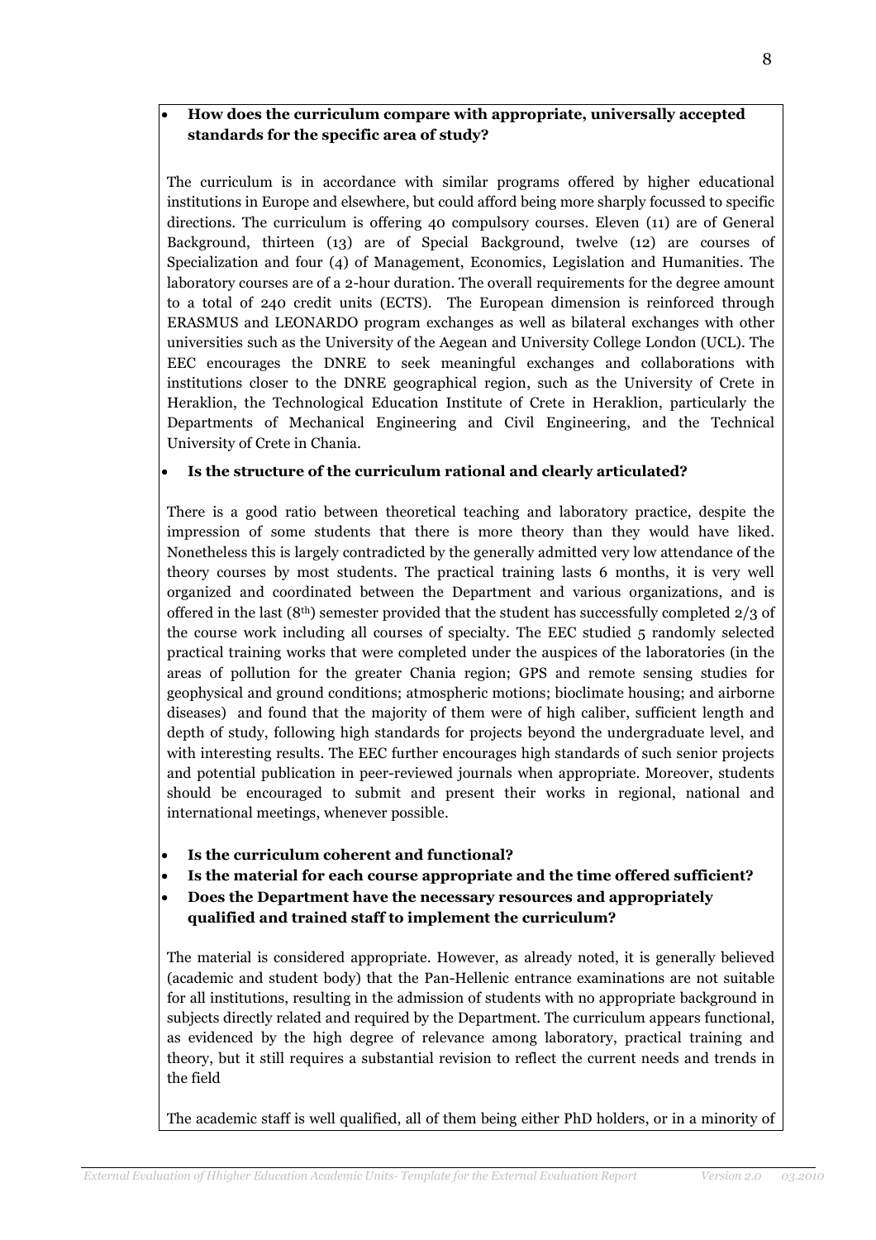# • How does the curriculum compare with appropriate, universally accepted standards for the specific area of study?

The curriculum is in accordance with similar programs offered by higher educational institutions in Europe and elsewhere, but could afford being more sharply focussed to specific directions. The curriculum is offering 40 compulsory courses. Eleven (11) are of General Background, thirteen (13) are of Special Background, twelve (12) are courses of Specialization and four (4) of Management, Economics, Legislation and Humanities. The laboratory courses are of a 2-hour duration. The overall requirements for the degree amount to a total of 240 credit units (ECTS). The European dimension is reinforced through ERASMUS and LEONARDO program exchanges as well as bilateral exchanges with other universities such as the University of the Aegean and University College London (UCL). The EEC encourages the DNRE to seek meaningful exchanges and collaborations with institutions closer to the DNRE geographical region, such as the University of Crete in Heraklion, the Technological Education Institute of Crete in Heraklion, particularly the Departments of Mechanical Engineering and Civil Engineering, and the Technical University of Crete in Chania.

## Is the structure of the curriculum rational and clearly articulated?

There is a good ratio between theoretical teaching and laboratory practice, despite the impression of some students that there is more theory than they would have liked. Nonetheless this is largely contradicted by the generally admitted very low attendance of the theory courses by most students. The practical training lasts 6 months, it is very well organized and coordinated between the Department and various organizations, and is offered in the last (8th) semester provided that the student has successfully completed 2/3 of the course work including all courses of specialty. The EEC studied 5 randomly selected practical training works that were completed under the auspices of the laboratories (in the areas of pollution for the greater Chania region; GPS and remote sensing studies for geophysical and ground conditions; atmospheric motions; bioclimate housing; and airborne diseases) and found that the majority of them were of high caliber, sufficient length and depth of study, following high standards for projects beyond the undergraduate level, and with interesting results. The EEC further encourages high standards of such senior projects and potential publication in peer-reviewed journals when appropriate. Moreover, students should be encouraged to submit and present their works in regional, national and international meetings, whenever possible.

- Is the curriculum coherent and functional?
- Is the material for each course appropriate and the time offered sufficient?
- Does the Department have the necessary resources and appropriately qualified and trained staff to implement the curriculum?

The material is considered appropriate. However, as already noted, it is generally believed (academic and student body) that the Pan-Hellenic entrance examinations are not suitable for all institutions, resulting in the admission of students with no appropriate background in subjects directly related and required by the Department. The curriculum appears functional, as evidenced by the high degree of relevance among laboratory, practical training and theory, but it still requires a substantial revision to reflect the current needs and trends in the field

The academic staff is well qualified, all of them being either PhD holders, or in a minority of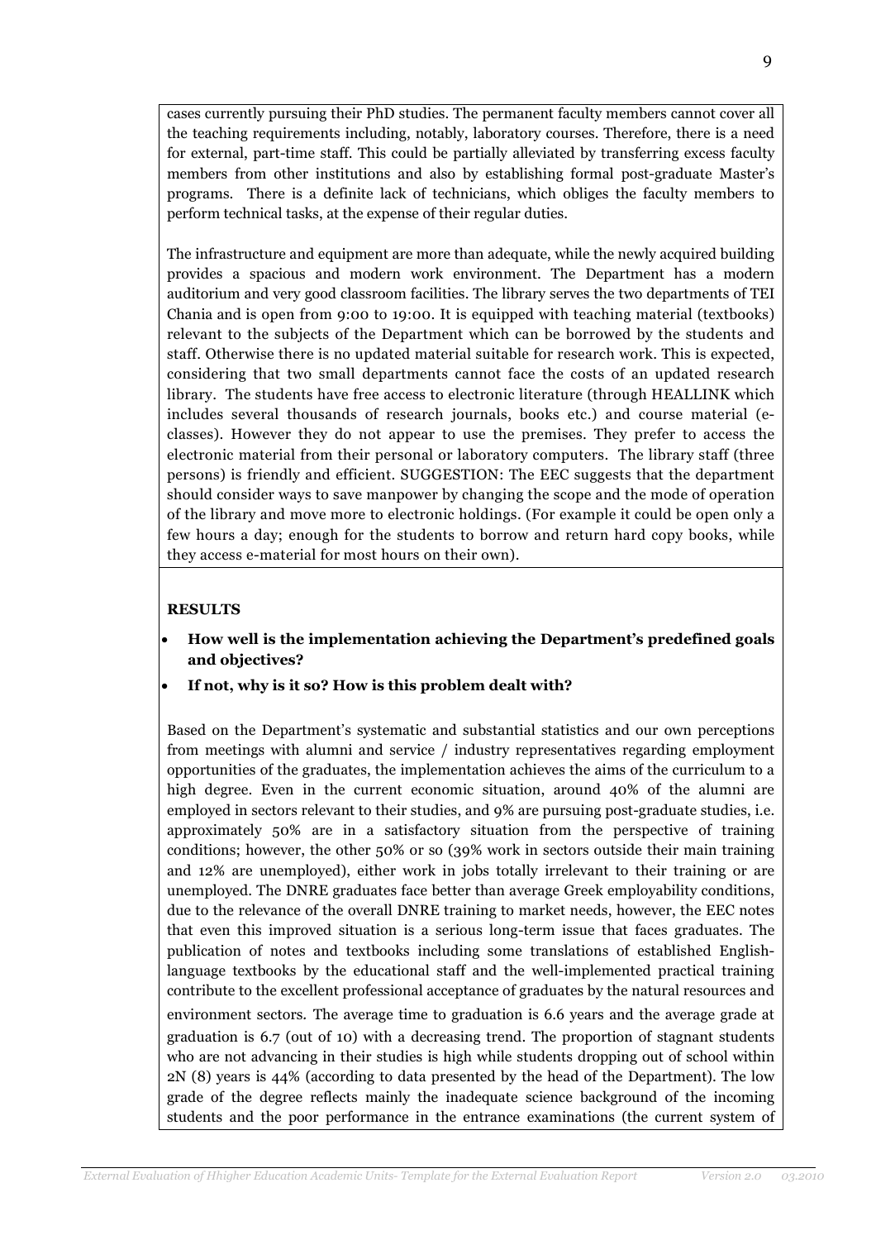cases currently pursuing their PhD studies. The permanent faculty members cannot cover all the teaching requirements including, notably, laboratory courses. Therefore, there is a need for external, part-time staff. This could be partially alleviated by transferring excess faculty members from other institutions and also by establishing formal post-graduate Master's programs. There is a definite lack of technicians, which obliges the faculty members to perform technical tasks, at the expense of their regular duties.

The infrastructure and equipment are more than adequate, while the newly acquired building provides a spacious and modern work environment. The Department has a modern auditorium and very good classroom facilities. The library serves the two departments of TEI Chania and is open from 9:00 to 19:00. It is equipped with teaching material (textbooks) relevant to the subjects of the Department which can be borrowed by the students and staff. Otherwise there is no updated material suitable for research work. This is expected, considering that two small departments cannot face the costs of an updated research library. The students have free access to electronic literature (through HEALLINK which includes several thousands of research journals, books etc.) and course material (eclasses). However they do not appear to use the premises. They prefer to access the electronic material from their personal or laboratory computers. The library staff (three persons) is friendly and efficient. SUGGESTION: The EEC suggests that the department should consider ways to save manpower by changing the scope and the mode of operation of the library and move more to electronic holdings. (For example it could be open only a few hours a day; enough for the students to borrow and return hard copy books, while they access e-material for most hours on their own).

## **RESULTS**

- How well is the implementation achieving the Department's predefined goals and objectives?
- If not, why is it so? How is this problem dealt with?

Based on the Department's systematic and substantial statistics and our own perceptions from meetings with alumni and service / industry representatives regarding employment opportunities of the graduates, the implementation achieves the aims of the curriculum to a high degree. Even in the current economic situation, around 40% of the alumni are employed in sectors relevant to their studies, and 9% are pursuing post-graduate studies, i.e. approximately 50% are in a satisfactory situation from the perspective of training conditions; however, the other 50% or so (39% work in sectors outside their main training and 12% are unemployed), either work in jobs totally irrelevant to their training or are unemployed. The DNRE graduates face better than average Greek employability conditions, due to the relevance of the overall DNRE training to market needs, however, the EEC notes that even this improved situation is a serious long-term issue that faces graduates. The publication of notes and textbooks including some translations of established Englishlanguage textbooks by the educational staff and the well-implemented practical training contribute to the excellent professional acceptance of graduates by the natural resources and environment sectors. The average time to graduation is 6.6 years and the average grade at graduation is 6.7 (out of 10) with a decreasing trend. The proportion of stagnant students who are not advancing in their studies is high while students dropping out of school within 2N (8) years is 44% (according to data presented by the head of the Department). The low grade of the degree reflects mainly the inadequate science background of the incoming students and the poor performance in the entrance examinations (the current system of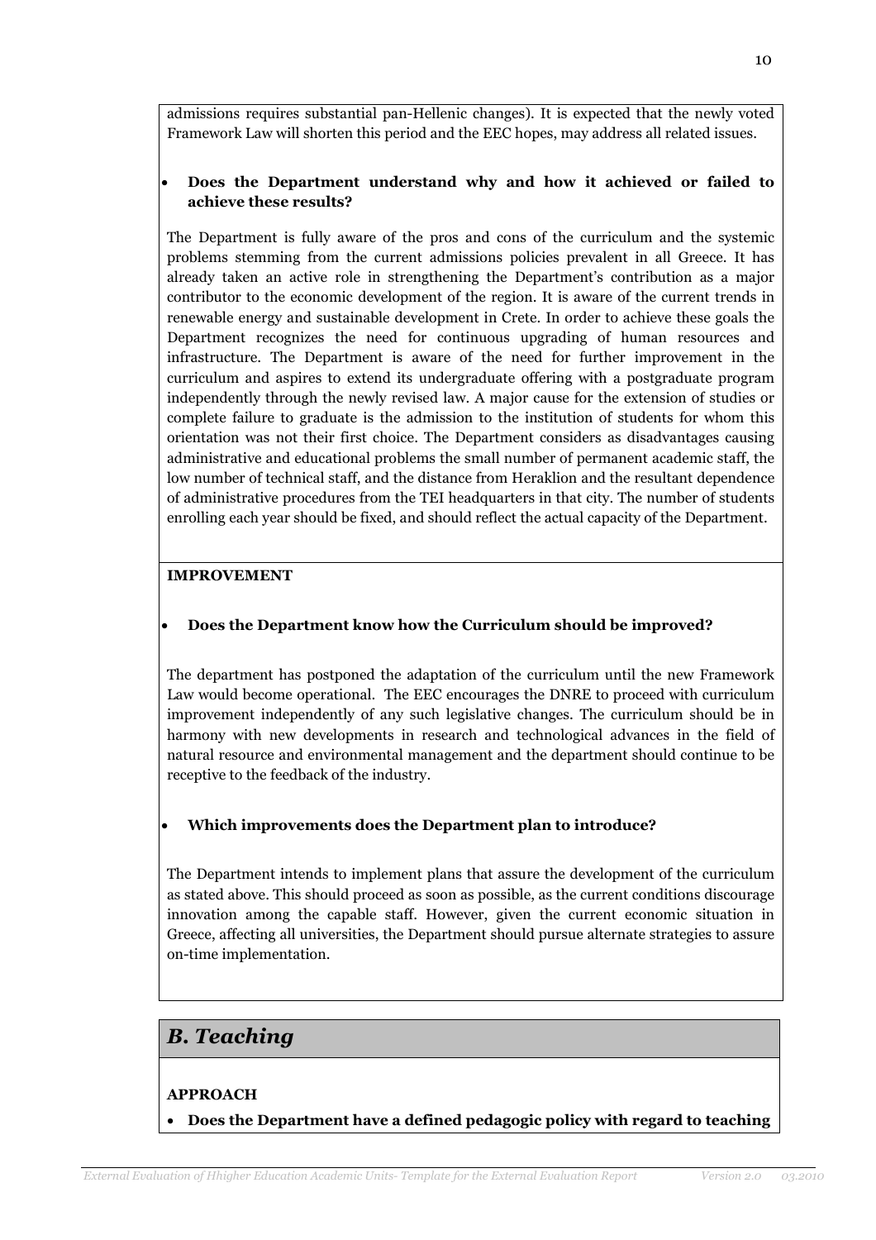admissions requires substantial pan-Hellenic changes). It is expected that the newly voted Framework Law will shorten this period and the EEC hopes, may address all related issues.

# • Does the Department understand why and how it achieved or failed to achieve these results?

The Department is fully aware of the pros and cons of the curriculum and the systemic problems stemming from the current admissions policies prevalent in all Greece. It has already taken an active role in strengthening the Department's contribution as a major contributor to the economic development of the region. It is aware of the current trends in renewable energy and sustainable development in Crete. In order to achieve these goals the Department recognizes the need for continuous upgrading of human resources and infrastructure. The Department is aware of the need for further improvement in the curriculum and aspires to extend its undergraduate offering with a postgraduate program independently through the newly revised law. A major cause for the extension of studies or complete failure to graduate is the admission to the institution of students for whom this orientation was not their first choice. The Department considers as disadvantages causing administrative and educational problems the small number of permanent academic staff, the low number of technical staff, and the distance from Heraklion and the resultant dependence of administrative procedures from the TEI headquarters in that city. The number of students enrolling each year should be fixed, and should reflect the actual capacity of the Department.

# IMPROVEMENT

# • Does the Department know how the Curriculum should be improved?

The department has postponed the adaptation of the curriculum until the new Framework Law would become operational. The EEC encourages the DNRE to proceed with curriculum improvement independently of any such legislative changes. The curriculum should be in harmony with new developments in research and technological advances in the field of natural resource and environmental management and the department should continue to be receptive to the feedback of the industry.

# • Which improvements does the Department plan to introduce?

The Department intends to implement plans that assure the development of the curriculum as stated above. This should proceed as soon as possible, as the current conditions discourage innovation among the capable staff. However, given the current economic situation in Greece, affecting all universities, the Department should pursue alternate strategies to assure on-time implementation.

# B. Teaching

# APPROACH

• Does the Department have a defined pedagogic policy with regard to teaching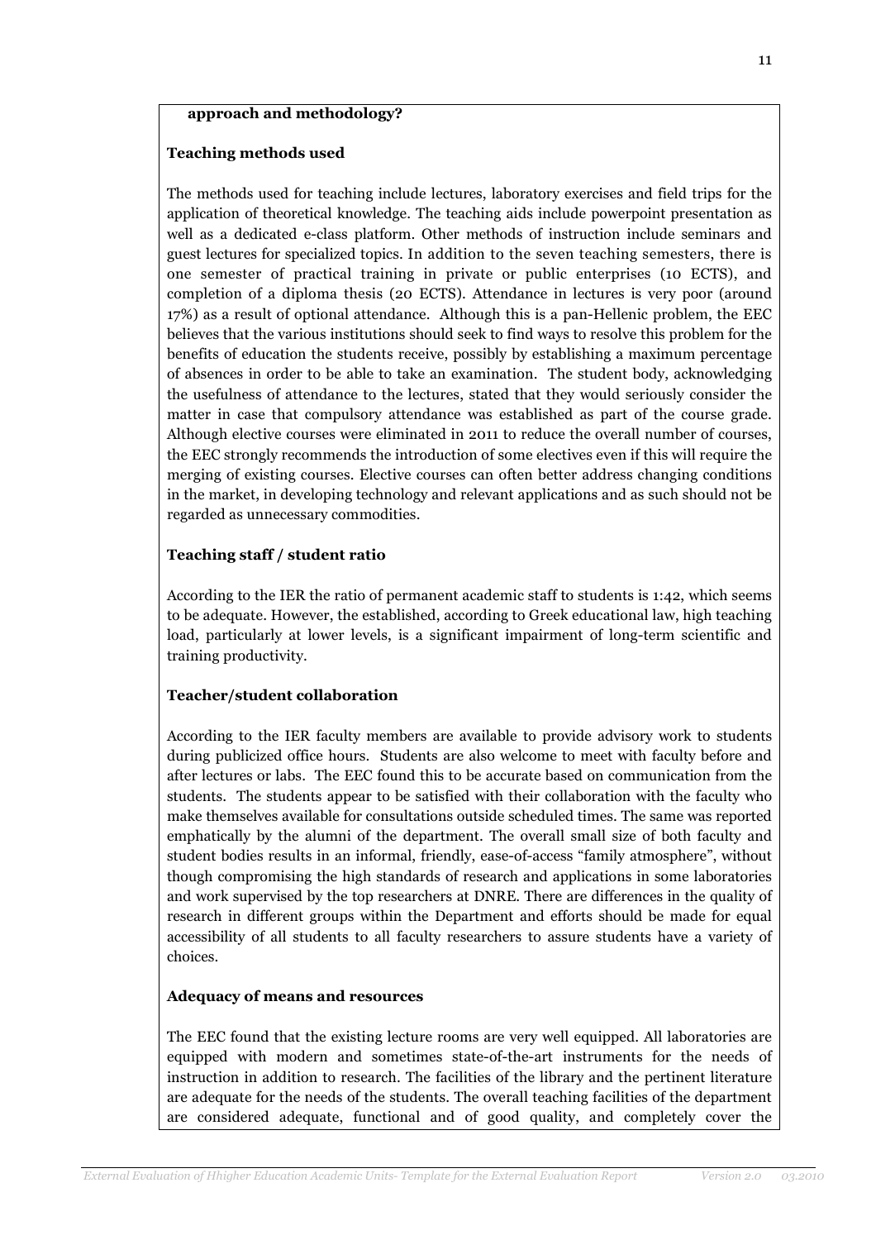#### approach and methodology?

### Teaching methods used

The methods used for teaching include lectures, laboratory exercises and field trips for the application of theoretical knowledge. The teaching aids include powerpoint presentation as well as a dedicated e-class platform. Other methods of instruction include seminars and guest lectures for specialized topics. In addition to the seven teaching semesters, there is one semester of practical training in private or public enterprises (10 ECTS), and completion of a diploma thesis (20 ECTS). Attendance in lectures is very poor (around 17%) as a result of optional attendance. Although this is a pan-Hellenic problem, the EEC believes that the various institutions should seek to find ways to resolve this problem for the benefits of education the students receive, possibly by establishing a maximum percentage of absences in order to be able to take an examination. The student body, acknowledging the usefulness of attendance to the lectures, stated that they would seriously consider the matter in case that compulsory attendance was established as part of the course grade. Although elective courses were eliminated in 2011 to reduce the overall number of courses, the EEC strongly recommends the introduction of some electives even if this will require the merging of existing courses. Elective courses can often better address changing conditions in the market, in developing technology and relevant applications and as such should not be regarded as unnecessary commodities.

#### Teaching staff / student ratio

According to the IER the ratio of permanent academic staff to students is 1:42, which seems to be adequate. However, the established, according to Greek educational law, high teaching load, particularly at lower levels, is a significant impairment of long-term scientific and training productivity.

#### Teacher/student collaboration

According to the IER faculty members are available to provide advisory work to students during publicized office hours. Students are also welcome to meet with faculty before and after lectures or labs. The EEC found this to be accurate based on communication from the students. The students appear to be satisfied with their collaboration with the faculty who make themselves available for consultations outside scheduled times. The same was reported emphatically by the alumni of the department. The overall small size of both faculty and student bodies results in an informal, friendly, ease-of-access "family atmosphere", without though compromising the high standards of research and applications in some laboratories and work supervised by the top researchers at DNRE. There are differences in the quality of research in different groups within the Department and efforts should be made for equal accessibility of all students to all faculty researchers to assure students have a variety of choices.

#### Adequacy of means and resources

The EEC found that the existing lecture rooms are very well equipped. All laboratories are equipped with modern and sometimes state-of-the-art instruments for the needs of instruction in addition to research. The facilities of the library and the pertinent literature are adequate for the needs of the students. The overall teaching facilities of the department are considered adequate, functional and of good quality, and completely cover the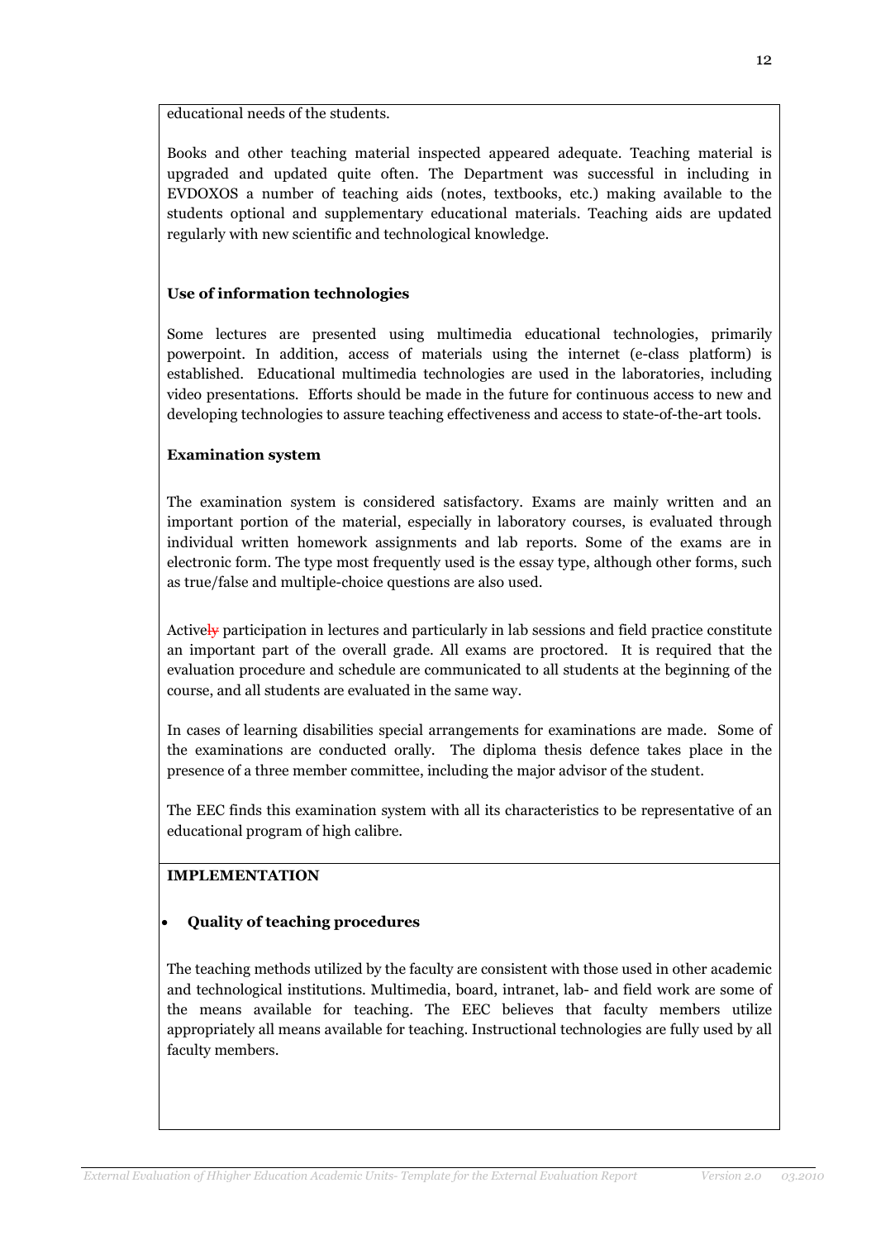educational needs of the students.

Books and other teaching material inspected appeared adequate. Teaching material is upgraded and updated quite often. The Department was successful in including in EVDOXOS a number of teaching aids (notes, textbooks, etc.) making available to the students optional and supplementary educational materials. Teaching aids are updated regularly with new scientific and technological knowledge.

### Use of information technologies

Some lectures are presented using multimedia educational technologies, primarily powerpoint. In addition, access of materials using the internet (e-class platform) is established. Educational multimedia technologies are used in the laboratories, including video presentations. Efforts should be made in the future for continuous access to new and developing technologies to assure teaching effectiveness and access to state-of-the-art tools.

### Examination system

The examination system is considered satisfactory. Exams are mainly written and an important portion of the material, especially in laboratory courses, is evaluated through individual written homework assignments and lab reports. Some of the exams are in electronic form. The type most frequently used is the essay type, although other forms, such as true/false and multiple-choice questions are also used.

Actively participation in lectures and particularly in lab sessions and field practice constitute an important part of the overall grade. All exams are proctored. It is required that the evaluation procedure and schedule are communicated to all students at the beginning of the course, and all students are evaluated in the same way.

In cases of learning disabilities special arrangements for examinations are made. Some of the examinations are conducted orally. The diploma thesis defence takes place in the presence of a three member committee, including the major advisor of the student.

The EEC finds this examination system with all its characteristics to be representative of an educational program of high calibre.

## IMPLEMENTATION

## • Quality of teaching procedures

The teaching methods utilized by the faculty are consistent with those used in other academic and technological institutions. Multimedia, board, intranet, lab- and field work are some of the means available for teaching. The EEC believes that faculty members utilize appropriately all means available for teaching. Instructional technologies are fully used by all faculty members.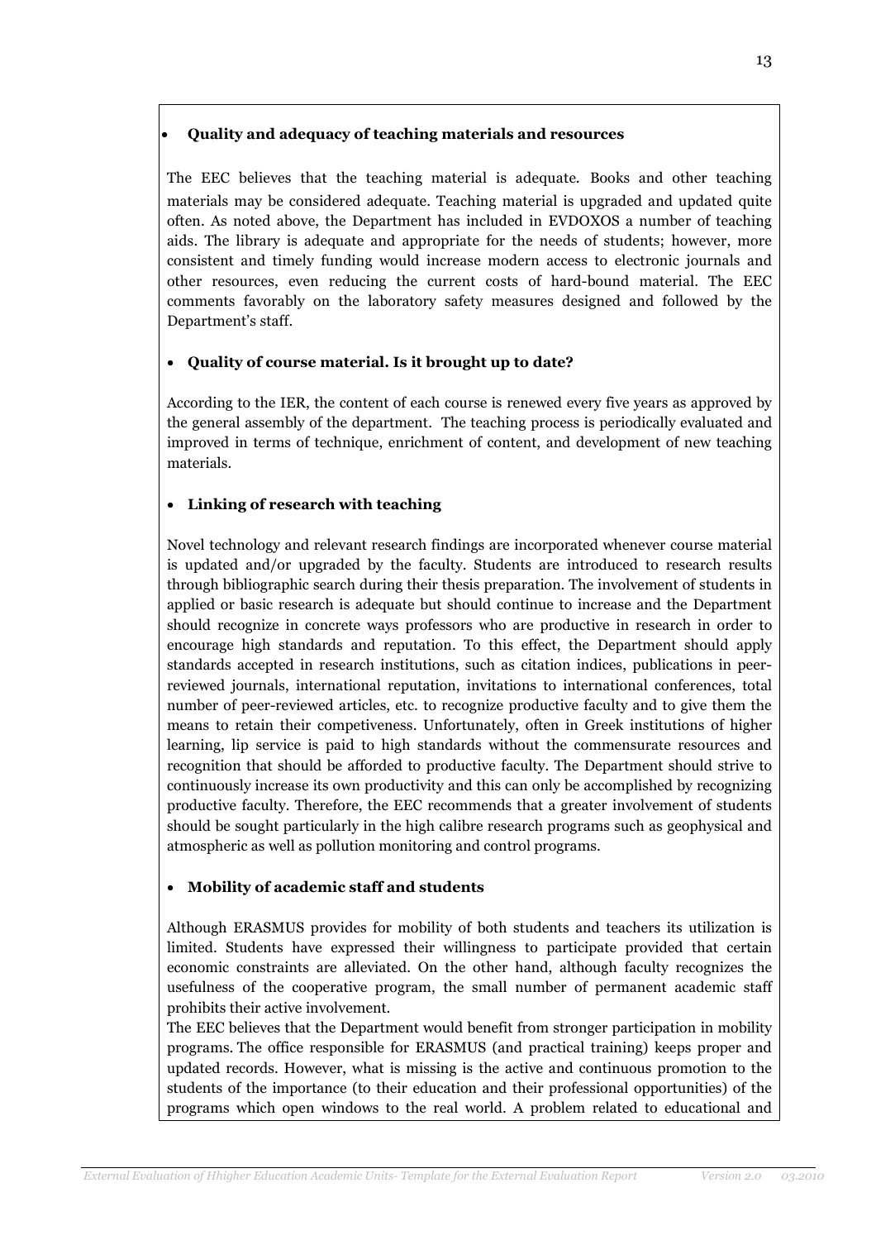## • Quality and adequacy of teaching materials and resources

The EEC believes that the teaching material is adequate. Books and other teaching materials may be considered adequate. Teaching material is upgraded and updated quite often. As noted above, the Department has included in EVDOXOS a number of teaching aids. The library is adequate and appropriate for the needs of students; however, more consistent and timely funding would increase modern access to electronic journals and other resources, even reducing the current costs of hard-bound material. The EEC comments favorably on the laboratory safety measures designed and followed by the Department's staff.

# • Quality of course material. Is it brought up to date?

According to the IER, the content of each course is renewed every five years as approved by the general assembly of the department. The teaching process is periodically evaluated and improved in terms of technique, enrichment of content, and development of new teaching materials.

# • Linking of research with teaching

Novel technology and relevant research findings are incorporated whenever course material is updated and/or upgraded by the faculty. Students are introduced to research results through bibliographic search during their thesis preparation. The involvement of students in applied or basic research is adequate but should continue to increase and the Department should recognize in concrete ways professors who are productive in research in order to encourage high standards and reputation. To this effect, the Department should apply standards accepted in research institutions, such as citation indices, publications in peerreviewed journals, international reputation, invitations to international conferences, total number of peer-reviewed articles, etc. to recognize productive faculty and to give them the means to retain their competiveness. Unfortunately, often in Greek institutions of higher learning, lip service is paid to high standards without the commensurate resources and recognition that should be afforded to productive faculty. The Department should strive to continuously increase its own productivity and this can only be accomplished by recognizing productive faculty. Therefore, the EEC recommends that a greater involvement of students should be sought particularly in the high calibre research programs such as geophysical and atmospheric as well as pollution monitoring and control programs.

## • Mobility of academic staff and students

Although ERASMUS provides for mobility of both students and teachers its utilization is limited. Students have expressed their willingness to participate provided that certain economic constraints are alleviated. On the other hand, although faculty recognizes the usefulness of the cooperative program, the small number of permanent academic staff prohibits their active involvement.

The EEC believes that the Department would benefit from stronger participation in mobility programs. The office responsible for ERASMUS (and practical training) keeps proper and updated records. However, what is missing is the active and continuous promotion to the students of the importance (to their education and their professional opportunities) of the programs which open windows to the real world. A problem related to educational and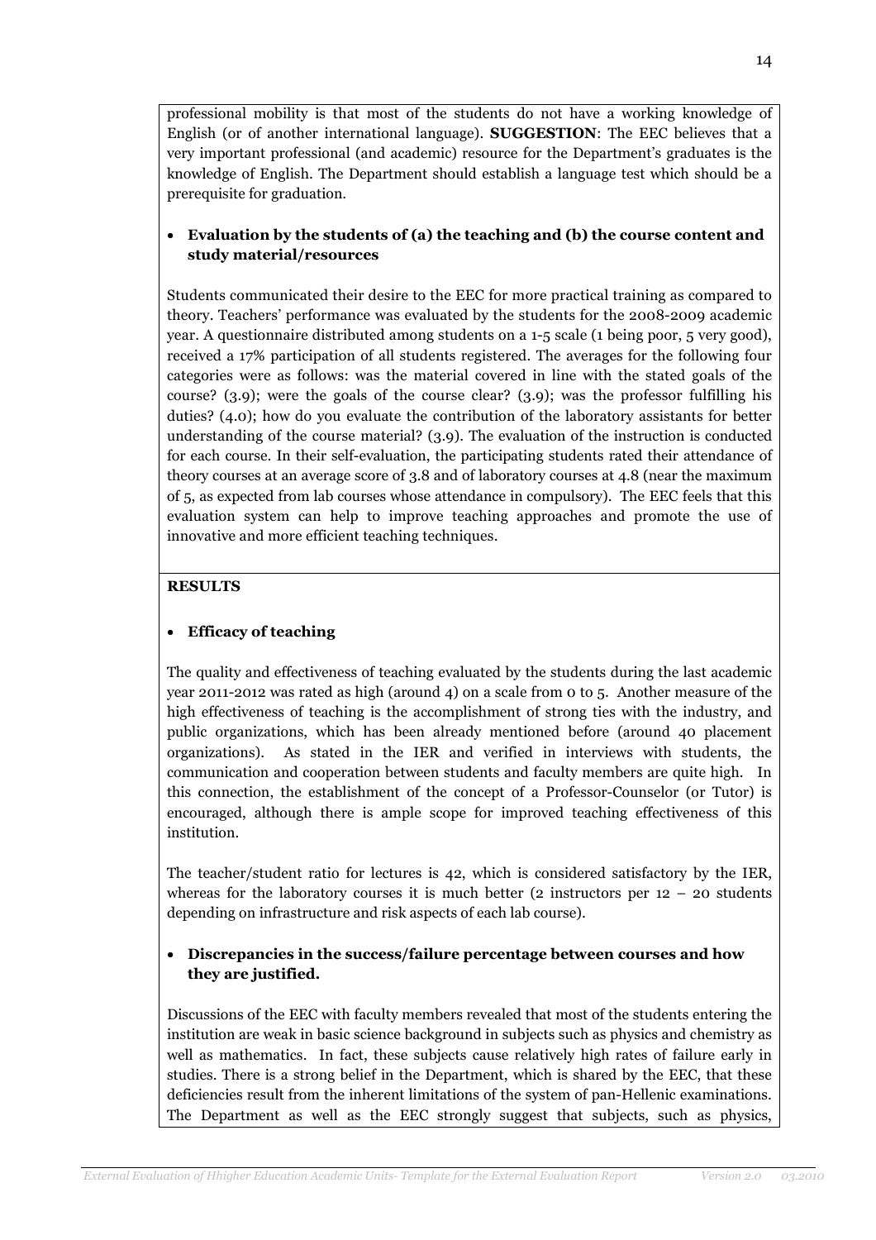professional mobility is that most of the students do not have a working knowledge of English (or of another international language). SUGGESTION: The EEC believes that a very important professional (and academic) resource for the Department's graduates is the knowledge of English. The Department should establish a language test which should be a prerequisite for graduation.

## • Evaluation by the students of (a) the teaching and (b) the course content and study material/resources

Students communicated their desire to the EEC for more practical training as compared to theory. Teachers' performance was evaluated by the students for the 2008-2009 academic year. A questionnaire distributed among students on a 1-5 scale (1 being poor, 5 very good), received a 17% participation of all students registered. The averages for the following four categories were as follows: was the material covered in line with the stated goals of the course? (3.9); were the goals of the course clear? (3.9); was the professor fulfilling his duties? (4.0); how do you evaluate the contribution of the laboratory assistants for better understanding of the course material? (3.9). The evaluation of the instruction is conducted for each course. In their self-evaluation, the participating students rated their attendance of theory courses at an average score of 3.8 and of laboratory courses at 4.8 (near the maximum of 5, as expected from lab courses whose attendance in compulsory). The EEC feels that this evaluation system can help to improve teaching approaches and promote the use of innovative and more efficient teaching techniques.

## **RESULTS**

## • Efficacy of teaching

The quality and effectiveness of teaching evaluated by the students during the last academic year 2011-2012 was rated as high (around 4) on a scale from 0 to 5. Another measure of the high effectiveness of teaching is the accomplishment of strong ties with the industry, and public organizations, which has been already mentioned before (around 40 placement organizations). As stated in the IER and verified in interviews with students, the communication and cooperation between students and faculty members are quite high. In this connection, the establishment of the concept of a Professor-Counselor (or Tutor) is encouraged, although there is ample scope for improved teaching effectiveness of this institution.

The teacher/student ratio for lectures is 42, which is considered satisfactory by the IER, whereas for the laboratory courses it is much better (2 instructors per  $12 - 20$  students depending on infrastructure and risk aspects of each lab course).

## • Discrepancies in the success/failure percentage between courses and how they are justified.

Discussions of the EEC with faculty members revealed that most of the students entering the institution are weak in basic science background in subjects such as physics and chemistry as well as mathematics. In fact, these subjects cause relatively high rates of failure early in studies. There is a strong belief in the Department, which is shared by the EEC, that these deficiencies result from the inherent limitations of the system of pan-Hellenic examinations. The Department as well as the EEC strongly suggest that subjects, such as physics,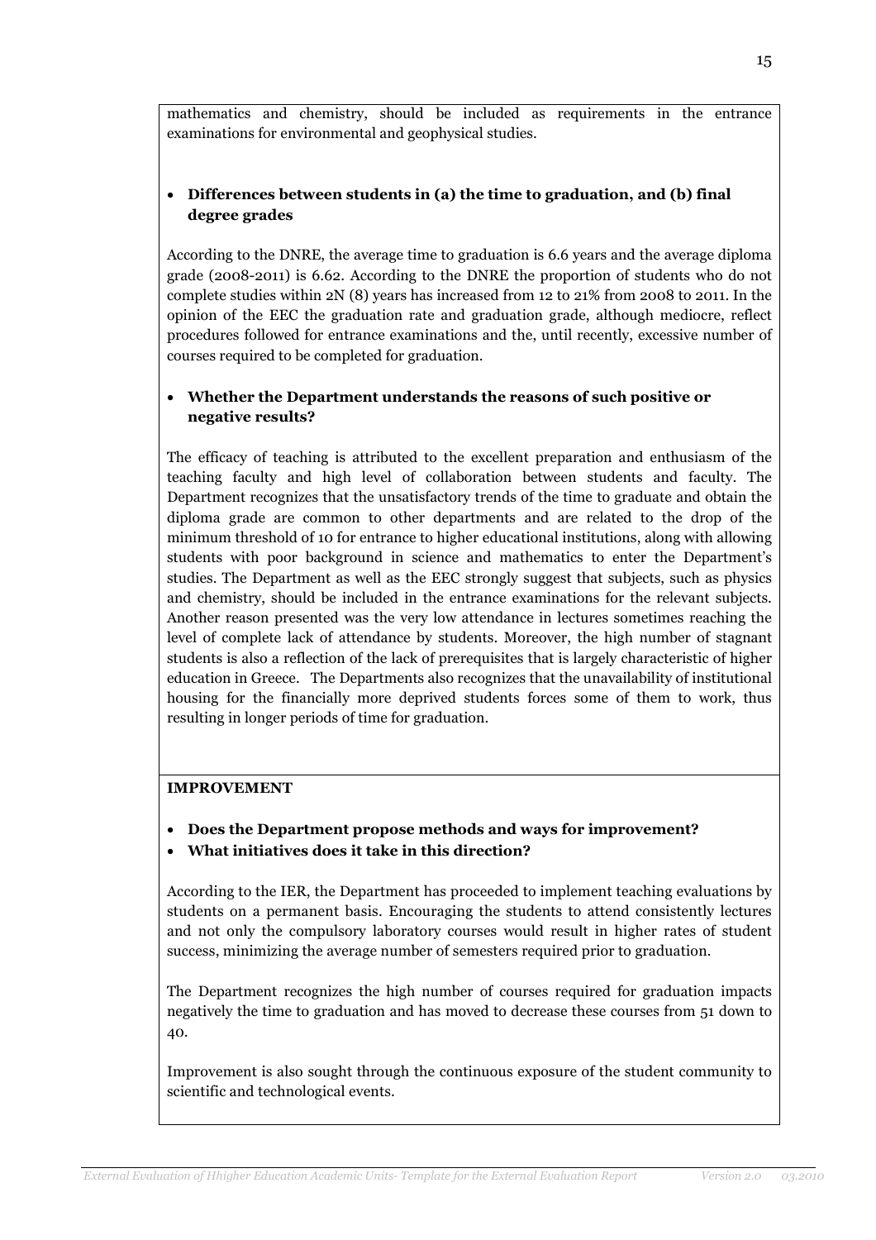mathematics and chemistry, should be included as requirements in the entrance examinations for environmental and geophysical studies.

## • Differences between students in (a) the time to graduation, and (b) final degree grades

According to the DNRE, the average time to graduation is 6.6 years and the average diploma grade (2008-2011) is 6.62. According to the DNRE the proportion of students who do not complete studies within 2N (8) years has increased from 12 to 21% from 2008 to 2011. In the opinion of the EEC the graduation rate and graduation grade, although mediocre, reflect procedures followed for entrance examinations and the, until recently, excessive number of courses required to be completed for graduation.

## • Whether the Department understands the reasons of such positive or negative results?

The efficacy of teaching is attributed to the excellent preparation and enthusiasm of the teaching faculty and high level of collaboration between students and faculty. The Department recognizes that the unsatisfactory trends of the time to graduate and obtain the diploma grade are common to other departments and are related to the drop of the minimum threshold of 10 for entrance to higher educational institutions, along with allowing students with poor background in science and mathematics to enter the Department's studies. The Department as well as the EEC strongly suggest that subjects, such as physics and chemistry, should be included in the entrance examinations for the relevant subjects. Another reason presented was the very low attendance in lectures sometimes reaching the level of complete lack of attendance by students. Moreover, the high number of stagnant students is also a reflection of the lack of prerequisites that is largely characteristic of higher education in Greece. The Departments also recognizes that the unavailability of institutional housing for the financially more deprived students forces some of them to work, thus resulting in longer periods of time for graduation.

#### IMPROVEMENT

- Does the Department propose methods and ways for improvement?
- What initiatives does it take in this direction?

According to the IER, the Department has proceeded to implement teaching evaluations by students on a permanent basis. Encouraging the students to attend consistently lectures and not only the compulsory laboratory courses would result in higher rates of student success, minimizing the average number of semesters required prior to graduation.

The Department recognizes the high number of courses required for graduation impacts negatively the time to graduation and has moved to decrease these courses from 51 down to 40.

Improvement is also sought through the continuous exposure of the student community to scientific and technological events.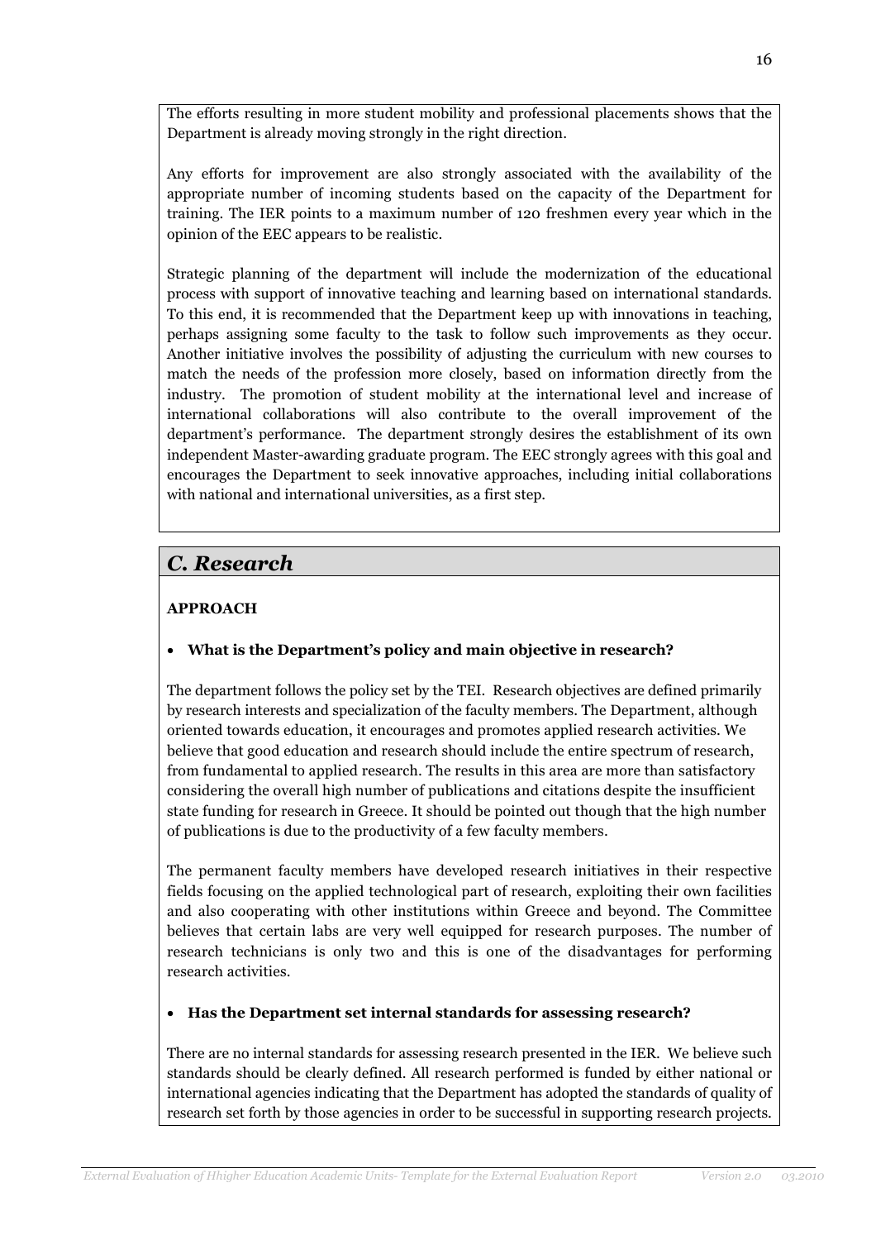The efforts resulting in more student mobility and professional placements shows that the Department is already moving strongly in the right direction.

Any efforts for improvement are also strongly associated with the availability of the appropriate number of incoming students based on the capacity of the Department for training. The IER points to a maximum number of 120 freshmen every year which in the opinion of the EEC appears to be realistic.

Strategic planning of the department will include the modernization of the educational process with support of innovative teaching and learning based on international standards. To this end, it is recommended that the Department keep up with innovations in teaching, perhaps assigning some faculty to the task to follow such improvements as they occur. Another initiative involves the possibility of adjusting the curriculum with new courses to match the needs of the profession more closely, based on information directly from the industry. The promotion of student mobility at the international level and increase of international collaborations will also contribute to the overall improvement of the department's performance. The department strongly desires the establishment of its own independent Master-awarding graduate program. The EEC strongly agrees with this goal and encourages the Department to seek innovative approaches, including initial collaborations with national and international universities, as a first step.

# C. Research

# APPROACH

# • What is the Department's policy and main objective in research?

The department follows the policy set by the TEI. Research objectives are defined primarily by research interests and specialization of the faculty members. The Department, although oriented towards education, it encourages and promotes applied research activities. We believe that good education and research should include the entire spectrum of research, from fundamental to applied research. The results in this area are more than satisfactory considering the overall high number of publications and citations despite the insufficient state funding for research in Greece. It should be pointed out though that the high number of publications is due to the productivity of a few faculty members.

The permanent faculty members have developed research initiatives in their respective fields focusing on the applied technological part of research, exploiting their own facilities and also cooperating with other institutions within Greece and beyond. The Committee believes that certain labs are very well equipped for research purposes. The number of research technicians is only two and this is one of the disadvantages for performing research activities.

# • Has the Department set internal standards for assessing research?

There are no internal standards for assessing research presented in the IER. We believe such standards should be clearly defined. All research performed is funded by either national or international agencies indicating that the Department has adopted the standards of quality of research set forth by those agencies in order to be successful in supporting research projects.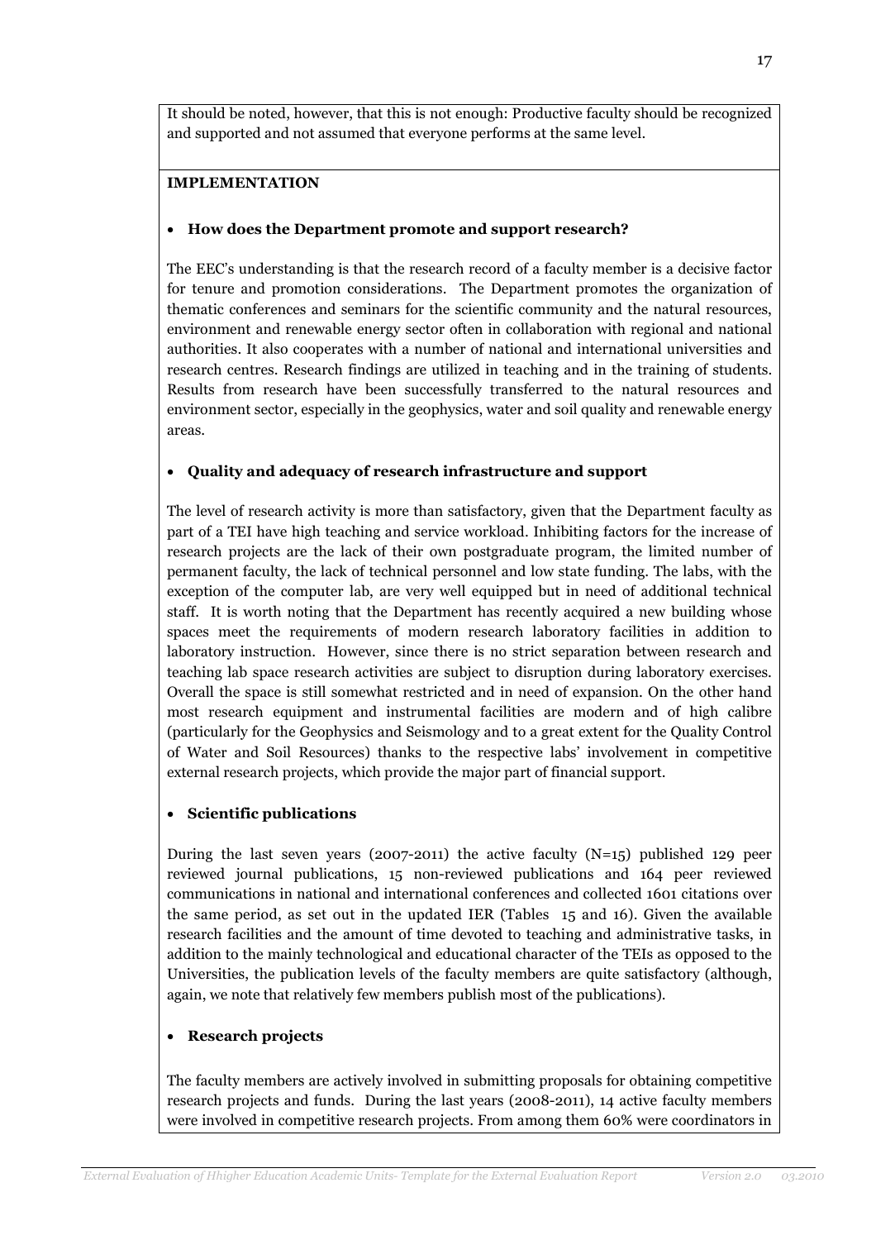It should be noted, however, that this is not enough: Productive faculty should be recognized and supported and not assumed that everyone performs at the same level.

### IMPLEMENTATION

#### • How does the Department promote and support research?

The EEC's understanding is that the research record of a faculty member is a decisive factor for tenure and promotion considerations. The Department promotes the organization of thematic conferences and seminars for the scientific community and the natural resources, environment and renewable energy sector often in collaboration with regional and national authorities. It also cooperates with a number of national and international universities and research centres. Research findings are utilized in teaching and in the training of students. Results from research have been successfully transferred to the natural resources and environment sector, especially in the geophysics, water and soil quality and renewable energy areas.

### • Quality and adequacy of research infrastructure and support

The level of research activity is more than satisfactory, given that the Department faculty as part of a TEI have high teaching and service workload. Inhibiting factors for the increase of research projects are the lack of their own postgraduate program, the limited number of permanent faculty, the lack of technical personnel and low state funding. The labs, with the exception of the computer lab, are very well equipped but in need of additional technical staff. It is worth noting that the Department has recently acquired a new building whose spaces meet the requirements of modern research laboratory facilities in addition to laboratory instruction. However, since there is no strict separation between research and teaching lab space research activities are subject to disruption during laboratory exercises. Overall the space is still somewhat restricted and in need of expansion. On the other hand most research equipment and instrumental facilities are modern and of high calibre (particularly for the Geophysics and Seismology and to a great extent for the Quality Control of Water and Soil Resources) thanks to the respective labs' involvement in competitive external research projects, which provide the major part of financial support.

#### • Scientific publications

During the last seven years (2007-2011) the active faculty (N=15) published 129 peer reviewed journal publications, 15 non-reviewed publications and 164 peer reviewed communications in national and international conferences and collected 1601 citations over the same period, as set out in the updated IER (Tables 15 and 16). Given the available research facilities and the amount of time devoted to teaching and administrative tasks, in addition to the mainly technological and educational character of the TEIs as opposed to the Universities, the publication levels of the faculty members are quite satisfactory (although, again, we note that relatively few members publish most of the publications).

#### • Research projects

The faculty members are actively involved in submitting proposals for obtaining competitive research projects and funds. During the last years (2008-2011), 14 active faculty members were involved in competitive research projects. From among them 60% were coordinators in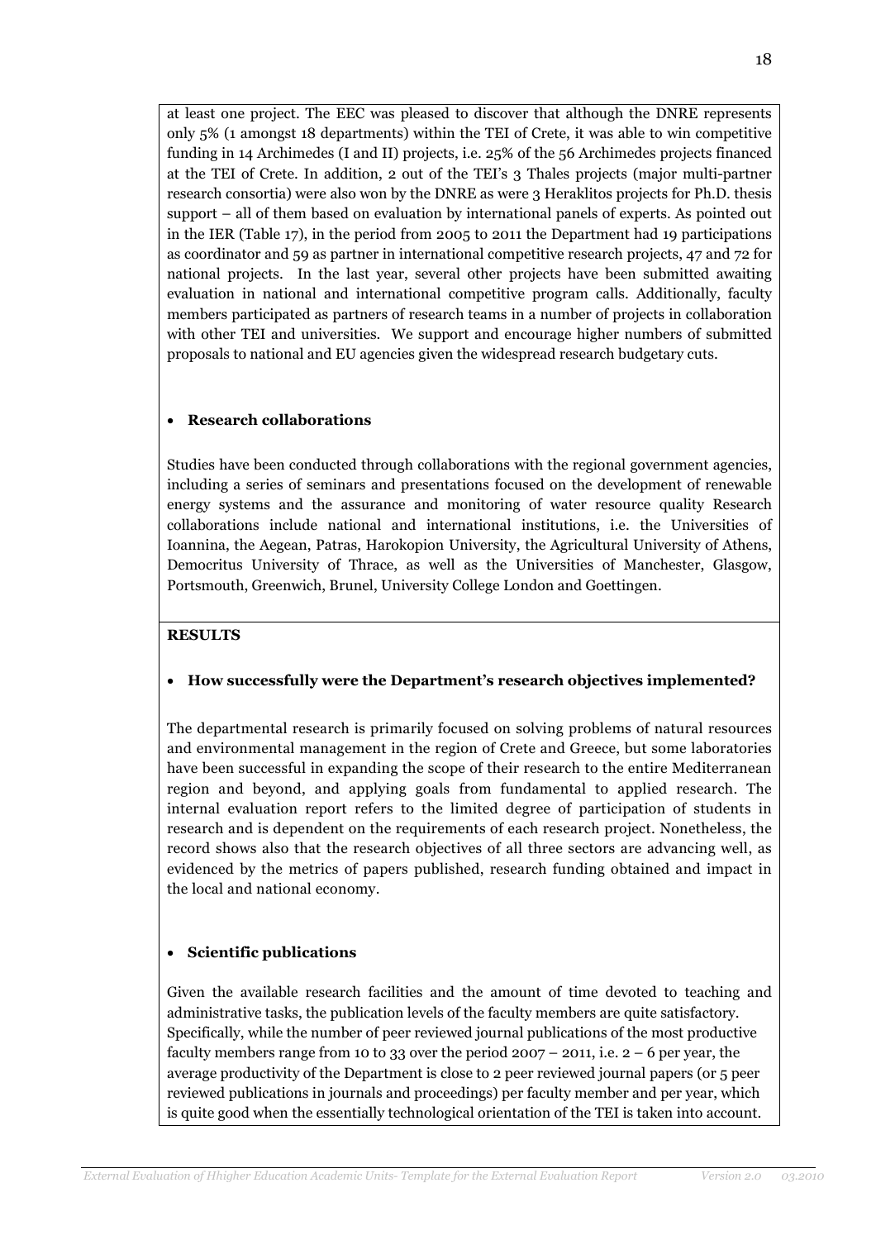at least one project. The EEC was pleased to discover that although the DNRE represents only 5% (1 amongst 18 departments) within the TEI of Crete, it was able to win competitive funding in 14 Archimedes (I and II) projects, i.e. 25% of the 56 Archimedes projects financed at the TEI of Crete. In addition, 2 out of the TEI's 3 Thales projects (major multi-partner research consortia) were also won by the DNRE as were 3 Heraklitos projects for Ph.D. thesis support – all of them based on evaluation by international panels of experts. As pointed out in the IER (Table 17), in the period from 2005 to 2011 the Department had 19 participations as coordinator and 59 as partner in international competitive research projects, 47 and 72 for national projects. In the last year, several other projects have been submitted awaiting evaluation in national and international competitive program calls. Additionally, faculty members participated as partners of research teams in a number of projects in collaboration with other TEI and universities. We support and encourage higher numbers of submitted proposals to national and EU agencies given the widespread research budgetary cuts.

## • Research collaborations

Studies have been conducted through collaborations with the regional government agencies, including a series of seminars and presentations focused on the development of renewable energy systems and the assurance and monitoring of water resource quality Research collaborations include national and international institutions, i.e. the Universities of Ioannina, the Aegean, Patras, Harokopion University, the Agricultural University of Athens, Democritus University of Thrace, as well as the Universities of Manchester, Glasgow, Portsmouth, Greenwich, Brunel, University College London and Goettingen.

## RESULTS

## • How successfully were the Department's research objectives implemented?

The departmental research is primarily focused on solving problems of natural resources and environmental management in the region of Crete and Greece, but some laboratories have been successful in expanding the scope of their research to the entire Mediterranean region and beyond, and applying goals from fundamental to applied research. The internal evaluation report refers to the limited degree of participation of students in research and is dependent on the requirements of each research project. Nonetheless, the record shows also that the research objectives of all three sectors are advancing well, as evidenced by the metrics of papers published, research funding obtained and impact in the local and national economy.

## • Scientific publications

Given the available research facilities and the amount of time devoted to teaching and administrative tasks, the publication levels of the faculty members are quite satisfactory. Specifically, while the number of peer reviewed journal publications of the most productive faculty members range from 10 to 33 over the period  $2007 - 2011$ , i.e.  $2 - 6$  per year, the average productivity of the Department is close to 2 peer reviewed journal papers (or 5 peer reviewed publications in journals and proceedings) per faculty member and per year, which is quite good when the essentially technological orientation of the TEI is taken into account.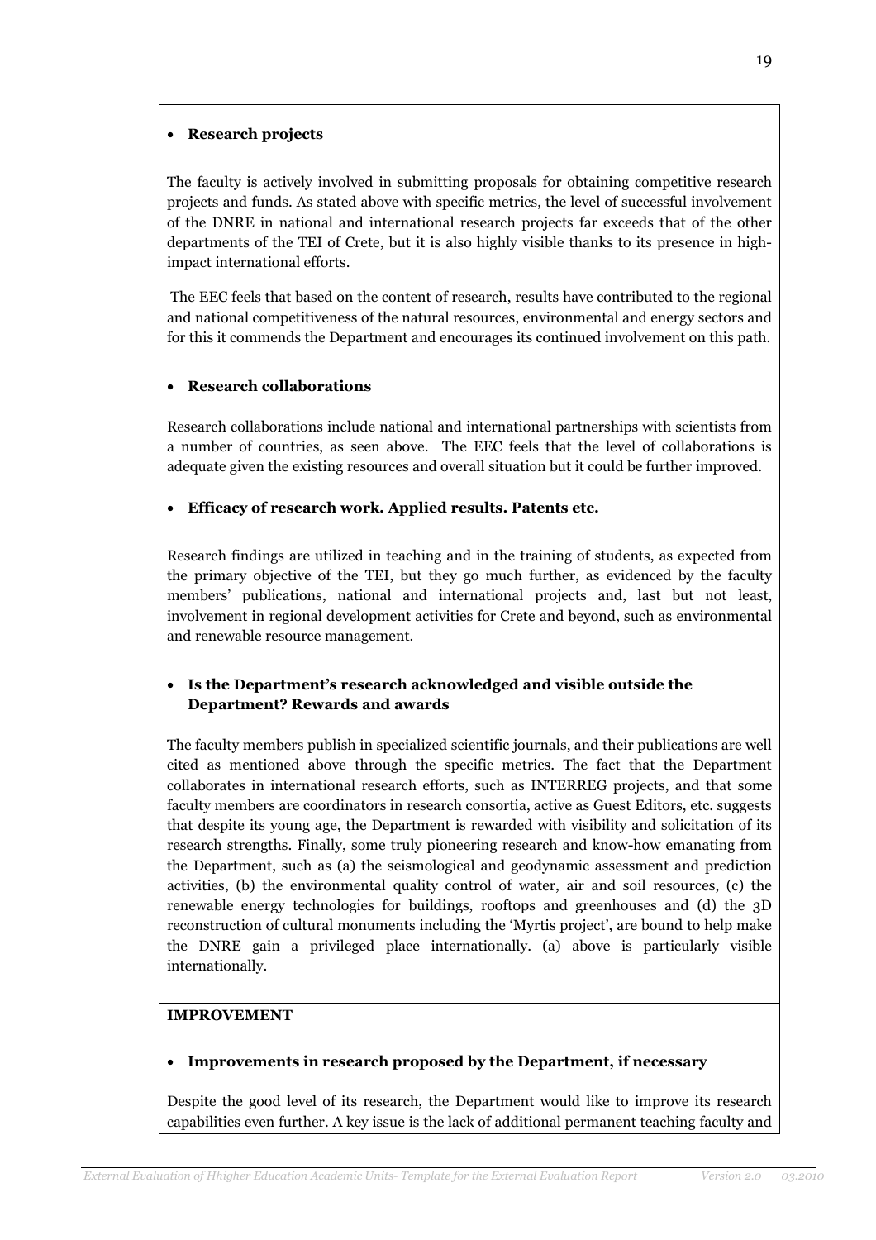## • Research projects

The faculty is actively involved in submitting proposals for obtaining competitive research projects and funds. As stated above with specific metrics, the level of successful involvement of the DNRE in national and international research projects far exceeds that of the other departments of the TEI of Crete, but it is also highly visible thanks to its presence in highimpact international efforts.

 The EEC feels that based on the content of research, results have contributed to the regional and national competitiveness of the natural resources, environmental and energy sectors and for this it commends the Department and encourages its continued involvement on this path.

# • Research collaborations

Research collaborations include national and international partnerships with scientists from a number of countries, as seen above. The EEC feels that the level of collaborations is adequate given the existing resources and overall situation but it could be further improved.

## • Efficacy of research work. Applied results. Patents etc.

Research findings are utilized in teaching and in the training of students, as expected from the primary objective of the TEI, but they go much further, as evidenced by the faculty members' publications, national and international projects and, last but not least, involvement in regional development activities for Crete and beyond, such as environmental and renewable resource management.

# • Is the Department's research acknowledged and visible outside the Department? Rewards and awards

The faculty members publish in specialized scientific journals, and their publications are well cited as mentioned above through the specific metrics. The fact that the Department collaborates in international research efforts, such as INTERREG projects, and that some faculty members are coordinators in research consortia, active as Guest Editors, etc. suggests that despite its young age, the Department is rewarded with visibility and solicitation of its research strengths. Finally, some truly pioneering research and know-how emanating from the Department, such as (a) the seismological and geodynamic assessment and prediction activities, (b) the environmental quality control of water, air and soil resources, (c) the renewable energy technologies for buildings, rooftops and greenhouses and (d) the 3D reconstruction of cultural monuments including the 'Myrtis project', are bound to help make the DNRE gain a privileged place internationally. (a) above is particularly visible internationally.

#### IMPROVEMENT

## • Improvements in research proposed by the Department, if necessary

Despite the good level of its research, the Department would like to improve its research capabilities even further. A key issue is the lack of additional permanent teaching faculty and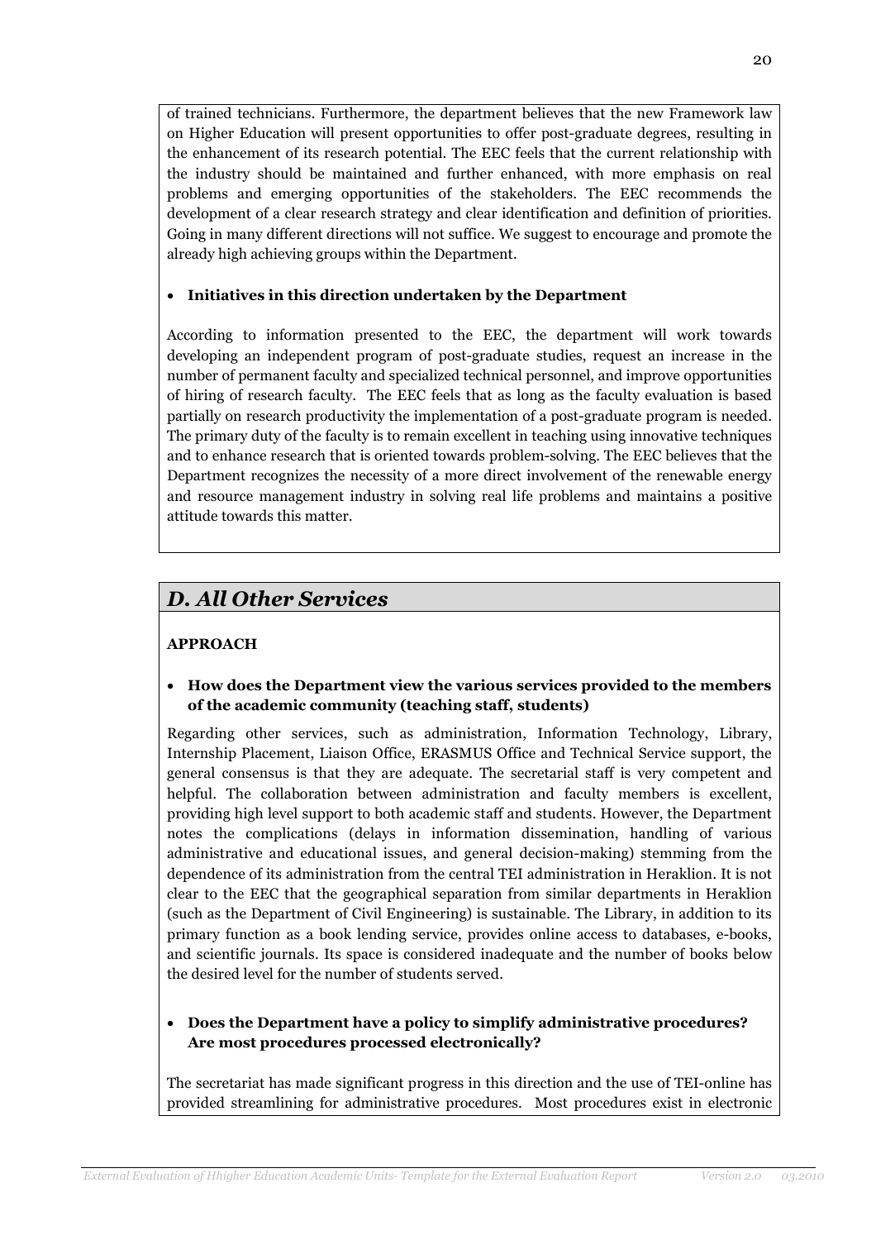of trained technicians. Furthermore, the department believes that the new Framework law on Higher Education will present opportunities to offer post-graduate degrees, resulting in the enhancement of its research potential. The EEC feels that the current relationship with the industry should be maintained and further enhanced, with more emphasis on real problems and emerging opportunities of the stakeholders. The EEC recommends the development of a clear research strategy and clear identification and definition of priorities. Going in many different directions will not suffice. We suggest to encourage and promote the already high achieving groups within the Department.

## • Initiatives in this direction undertaken by the Department

According to information presented to the EEC, the department will work towards developing an independent program of post-graduate studies, request an increase in the number of permanent faculty and specialized technical personnel, and improve opportunities of hiring of research faculty. The EEC feels that as long as the faculty evaluation is based partially on research productivity the implementation of a post-graduate program is needed. The primary duty of the faculty is to remain excellent in teaching using innovative techniques and to enhance research that is oriented towards problem-solving. The EEC believes that the Department recognizes the necessity of a more direct involvement of the renewable energy and resource management industry in solving real life problems and maintains a positive attitude towards this matter.

# D. All Other Services

# APPROACH

• How does the Department view the various services provided to the members of the academic community (teaching staff, students)

Regarding other services, such as administration, Information Technology, Library, Internship Placement, Liaison Office, ERASMUS Office and Technical Service support, the general consensus is that they are adequate. The secretarial staff is very competent and helpful. The collaboration between administration and faculty members is excellent, providing high level support to both academic staff and students. However, the Department notes the complications (delays in information dissemination, handling of various administrative and educational issues, and general decision-making) stemming from the dependence of its administration from the central TEI administration in Heraklion. It is not clear to the EEC that the geographical separation from similar departments in Heraklion (such as the Department of Civil Engineering) is sustainable. The Library, in addition to its primary function as a book lending service, provides online access to databases, e-books, and scientific journals. Its space is considered inadequate and the number of books below the desired level for the number of students served.

# • Does the Department have a policy to simplify administrative procedures? Are most procedures processed electronically?

The secretariat has made significant progress in this direction and the use of TEI-online has provided streamlining for administrative procedures. Most procedures exist in electronic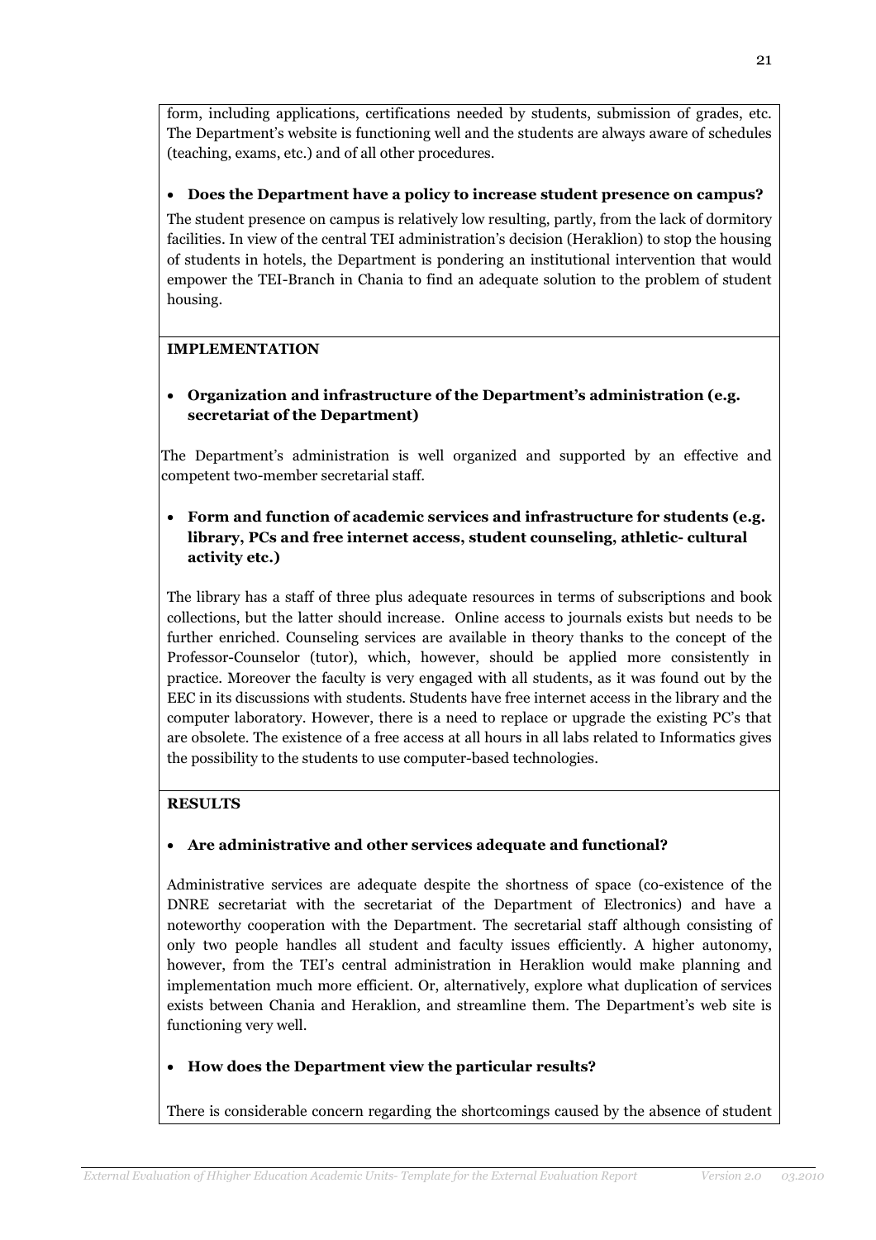form, including applications, certifications needed by students, submission of grades, etc. The Department's website is functioning well and the students are always aware of schedules (teaching, exams, etc.) and of all other procedures.

# • Does the Department have a policy to increase student presence on campus?

The student presence on campus is relatively low resulting, partly, from the lack of dormitory facilities. In view of the central TEI administration's decision (Heraklion) to stop the housing of students in hotels, the Department is pondering an institutional intervention that would empower the TEI-Branch in Chania to find an adequate solution to the problem of student housing.

# IMPLEMENTATION

# • Organization and infrastructure of the Department's administration (e.g. secretariat of the Department)

The Department's administration is well organized and supported by an effective and competent two-member secretarial staff.

# • Form and function of academic services and infrastructure for students (e.g. library, PCs and free internet access, student counseling, athletic- cultural activity etc.)

The library has a staff of three plus adequate resources in terms of subscriptions and book collections, but the latter should increase. Online access to journals exists but needs to be further enriched. Counseling services are available in theory thanks to the concept of the Professor-Counselor (tutor), which, however, should be applied more consistently in practice. Moreover the faculty is very engaged with all students, as it was found out by the EEC in its discussions with students. Students have free internet access in the library and the computer laboratory. However, there is a need to replace or upgrade the existing PC's that are obsolete. The existence of a free access at all hours in all labs related to Informatics gives the possibility to the students to use computer-based technologies.

# RESULTS

# • Are administrative and other services adequate and functional?

Administrative services are adequate despite the shortness of space (co-existence of the DNRE secretariat with the secretariat of the Department of Electronics) and have a noteworthy cooperation with the Department. The secretarial staff although consisting of only two people handles all student and faculty issues efficiently. A higher autonomy, however, from the TEI's central administration in Heraklion would make planning and implementation much more efficient. Or, alternatively, explore what duplication of services exists between Chania and Heraklion, and streamline them. The Department's web site is functioning very well.

## • How does the Department view the particular results?

There is considerable concern regarding the shortcomings caused by the absence of student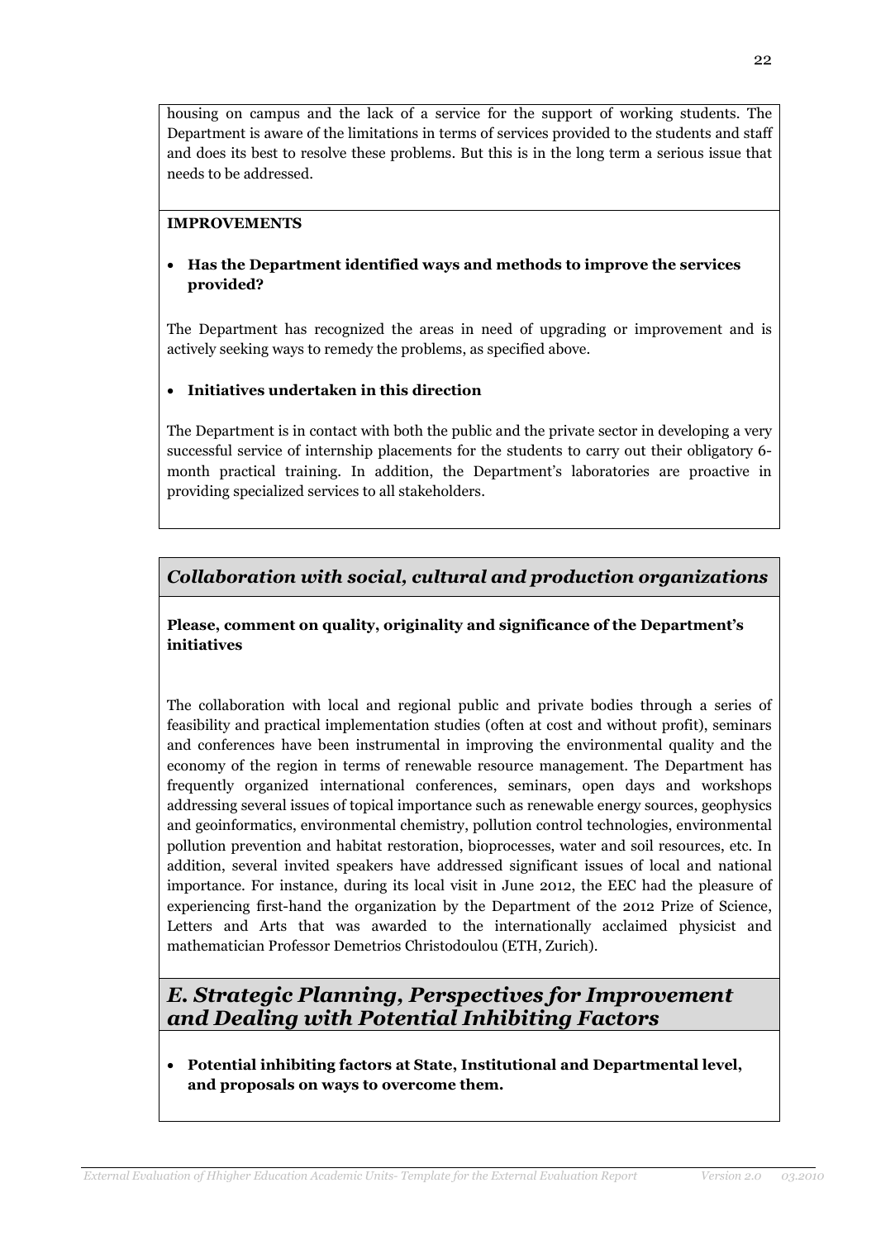housing on campus and the lack of a service for the support of working students. The Department is aware of the limitations in terms of services provided to the students and staff and does its best to resolve these problems. But this is in the long term a serious issue that needs to be addressed.

## IMPROVEMENTS

# • Has the Department identified ways and methods to improve the services provided?

The Department has recognized the areas in need of upgrading or improvement and is actively seeking ways to remedy the problems, as specified above.

# • Initiatives undertaken in this direction

The Department is in contact with both the public and the private sector in developing a very successful service of internship placements for the students to carry out their obligatory 6 month practical training. In addition, the Department's laboratories are proactive in providing specialized services to all stakeholders.

# Collaboration with social, cultural and production organizations

Please, comment on quality, originality and significance of the Department's initiatives

The collaboration with local and regional public and private bodies through a series of feasibility and practical implementation studies (often at cost and without profit), seminars and conferences have been instrumental in improving the environmental quality and the economy of the region in terms of renewable resource management. The Department has frequently organized international conferences, seminars, open days and workshops addressing several issues of topical importance such as renewable energy sources, geophysics and geoinformatics, environmental chemistry, pollution control technologies, environmental pollution prevention and habitat restoration, bioprocesses, water and soil resources, etc. In addition, several invited speakers have addressed significant issues of local and national importance. For instance, during its local visit in June 2012, the EEC had the pleasure of experiencing first-hand the organization by the Department of the 2012 Prize of Science, Letters and Arts that was awarded to the internationally acclaimed physicist and mathematician Professor Demetrios Christodoulou (ETH, Zurich).

# E. Strategic Planning, Perspectives for Improvement and Dealing with Potential Inhibiting Factors

• Potential inhibiting factors at State, Institutional and Departmental level, and proposals on ways to overcome them.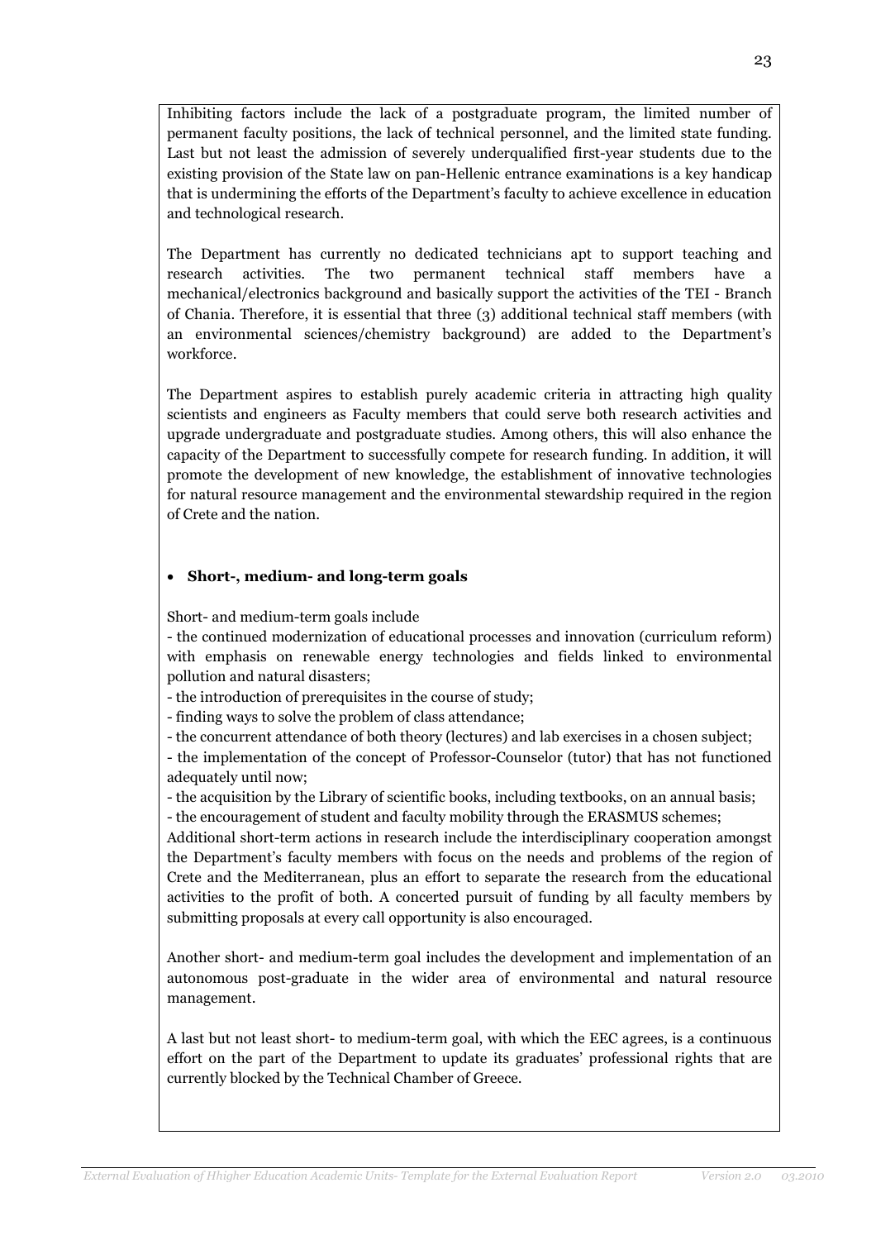Inhibiting factors include the lack of a postgraduate program, the limited number of permanent faculty positions, the lack of technical personnel, and the limited state funding. Last but not least the admission of severely underqualified first-year students due to the existing provision of the State law on pan-Hellenic entrance examinations is a key handicap that is undermining the efforts of the Department's faculty to achieve excellence in education and technological research.

The Department has currently no dedicated technicians apt to support teaching and research activities. The two permanent technical staff members have a mechanical/electronics background and basically support the activities of the TEI - Branch of Chania. Therefore, it is essential that three (3) additional technical staff members (with an environmental sciences/chemistry background) are added to the Department's workforce.

The Department aspires to establish purely academic criteria in attracting high quality scientists and engineers as Faculty members that could serve both research activities and upgrade undergraduate and postgraduate studies. Among others, this will also enhance the capacity of the Department to successfully compete for research funding. In addition, it will promote the development of new knowledge, the establishment of innovative technologies for natural resource management and the environmental stewardship required in the region of Crete and the nation.

### • Short-, medium- and long-term goals

Short- and medium-term goals include

- the continued modernization of educational processes and innovation (curriculum reform) with emphasis on renewable energy technologies and fields linked to environmental pollution and natural disasters;

- the introduction of prerequisites in the course of study;

- finding ways to solve the problem of class attendance;

- the concurrent attendance of both theory (lectures) and lab exercises in a chosen subject;

- the implementation of the concept of Professor-Counselor (tutor) that has not functioned adequately until now;

- the acquisition by the Library of scientific books, including textbooks, on an annual basis;

- the encouragement of student and faculty mobility through the ERASMUS schemes;

Additional short-term actions in research include the interdisciplinary cooperation amongst the Department's faculty members with focus on the needs and problems of the region of Crete and the Mediterranean, plus an effort to separate the research from the educational activities to the profit of both. A concerted pursuit of funding by all faculty members by submitting proposals at every call opportunity is also encouraged.

Another short- and medium-term goal includes the development and implementation of an autonomous post-graduate in the wider area of environmental and natural resource management.

A last but not least short- to medium-term goal, with which the EEC agrees, is a continuous effort on the part of the Department to update its graduates' professional rights that are currently blocked by the Technical Chamber of Greece.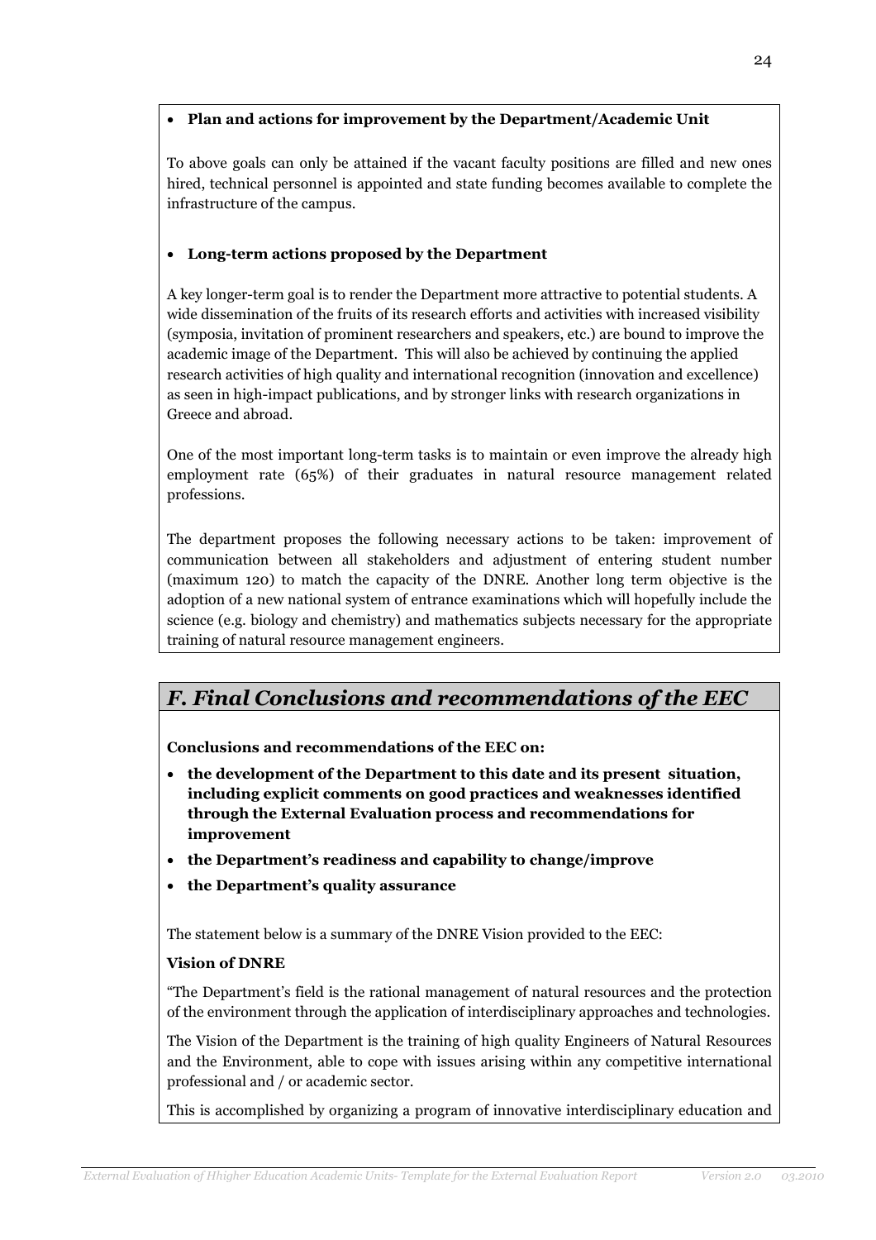## • Plan and actions for improvement by the Department/Academic Unit

To above goals can only be attained if the vacant faculty positions are filled and new ones hired, technical personnel is appointed and state funding becomes available to complete the infrastructure of the campus.

# • Long-term actions proposed by the Department

A key longer-term goal is to render the Department more attractive to potential students. A wide dissemination of the fruits of its research efforts and activities with increased visibility (symposia, invitation of prominent researchers and speakers, etc.) are bound to improve the academic image of the Department. This will also be achieved by continuing the applied research activities of high quality and international recognition (innovation and excellence) as seen in high-impact publications, and by stronger links with research organizations in Greece and abroad.

One of the most important long-term tasks is to maintain or even improve the already high employment rate (65%) of their graduates in natural resource management related professions.

The department proposes the following necessary actions to be taken: improvement of communication between all stakeholders and adjustment of entering student number (maximum 120) to match the capacity of the DNRE. Another long term objective is the adoption of a new national system of entrance examinations which will hopefully include the science (e.g. biology and chemistry) and mathematics subjects necessary for the appropriate training of natural resource management engineers.

# F. Final Conclusions and recommendations of the EEC

Conclusions and recommendations of the EEC on:

- the development of the Department to this date and its present situation, including explicit comments on good practices and weaknesses identified through the External Evaluation process and recommendations for improvement
- the Department's readiness and capability to change/improve
- the Department's quality assurance

The statement below is a summary of the DNRE Vision provided to the EEC:

## Vision of DNRE

"The Department's field is the rational management of natural resources and the protection of the environment through the application of interdisciplinary approaches and technologies.

The Vision of the Department is the training of high quality Engineers of Natural Resources and the Environment, able to cope with issues arising within any competitive international professional and / or academic sector.

This is accomplished by organizing a program of innovative interdisciplinary education and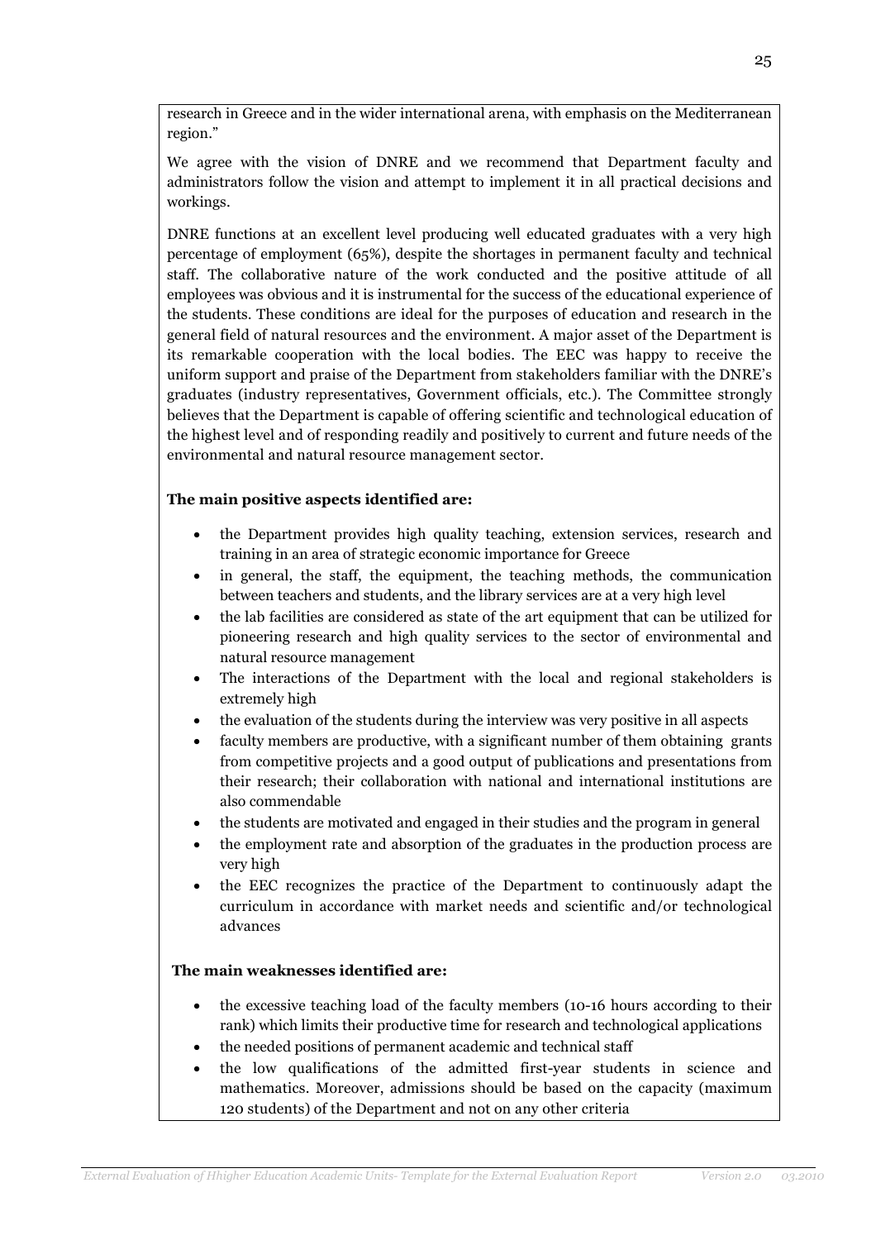research in Greece and in the wider international arena, with emphasis on the Mediterranean region."

We agree with the vision of DNRE and we recommend that Department faculty and administrators follow the vision and attempt to implement it in all practical decisions and workings.

DNRE functions at an excellent level producing well educated graduates with a very high percentage of employment (65%), despite the shortages in permanent faculty and technical staff. The collaborative nature of the work conducted and the positive attitude of all employees was obvious and it is instrumental for the success of the educational experience of the students. These conditions are ideal for the purposes of education and research in the general field of natural resources and the environment. A major asset of the Department is its remarkable cooperation with the local bodies. The EEC was happy to receive the uniform support and praise of the Department from stakeholders familiar with the DNRE's graduates (industry representatives, Government officials, etc.). The Committee strongly believes that the Department is capable of offering scientific and technological education of the highest level and of responding readily and positively to current and future needs of the environmental and natural resource management sector.

## The main positive aspects identified are:

- the Department provides high quality teaching, extension services, research and training in an area of strategic economic importance for Greece
- in general, the staff, the equipment, the teaching methods, the communication between teachers and students, and the library services are at a very high level
- the lab facilities are considered as state of the art equipment that can be utilized for pioneering research and high quality services to the sector of environmental and natural resource management
- The interactions of the Department with the local and regional stakeholders is extremely high
- the evaluation of the students during the interview was very positive in all aspects
- faculty members are productive, with a significant number of them obtaining grants from competitive projects and a good output of publications and presentations from their research; their collaboration with national and international institutions are also commendable
- the students are motivated and engaged in their studies and the program in general
- the employment rate and absorption of the graduates in the production process are very high
- the EEC recognizes the practice of the Department to continuously adapt the curriculum in accordance with market needs and scientific and/or technological advances

## The main weaknesses identified are:

- the excessive teaching load of the faculty members (10-16 hours according to their rank) which limits their productive time for research and technological applications
- the needed positions of permanent academic and technical staff
- the low qualifications of the admitted first-year students in science and mathematics. Moreover, admissions should be based on the capacity (maximum 120 students) of the Department and not on any other criteria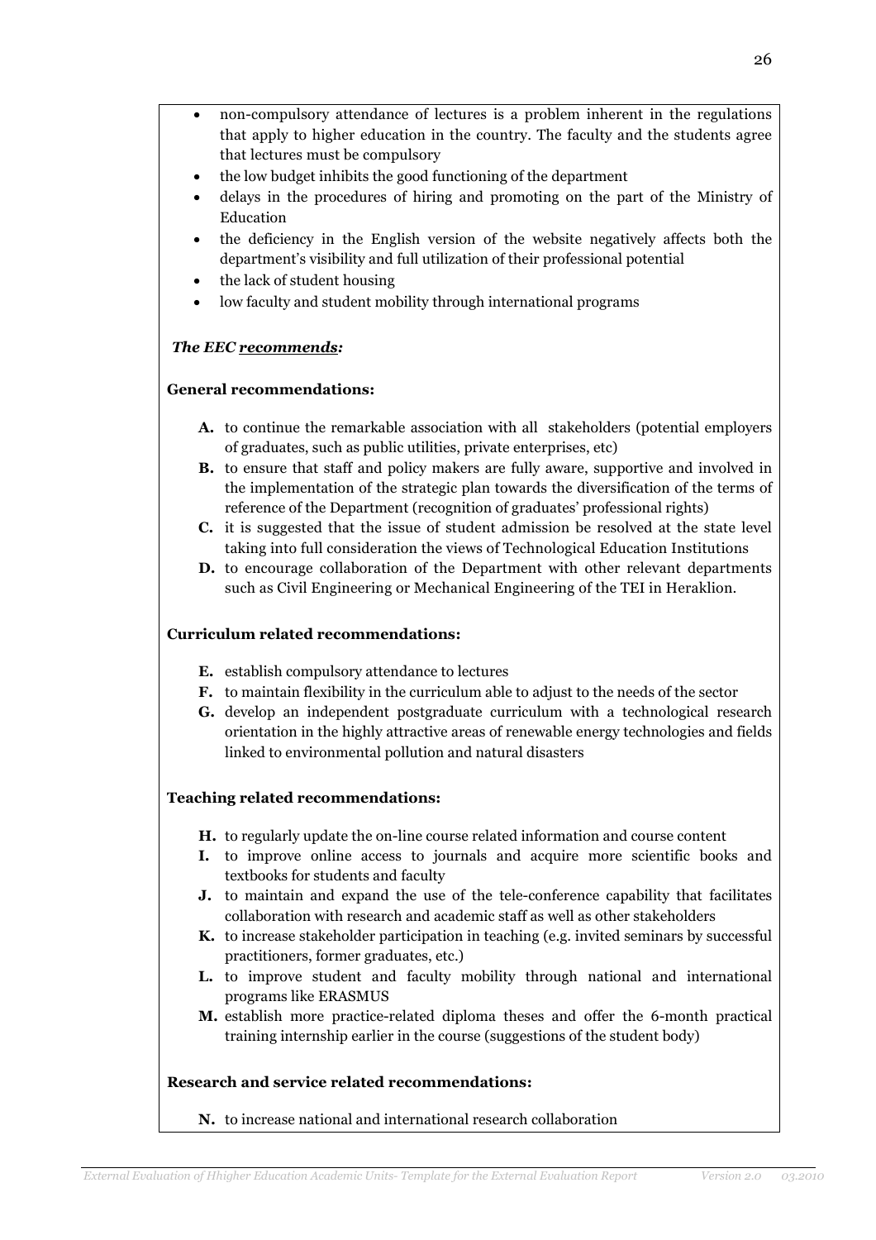- non-compulsory attendance of lectures is a problem inherent in the regulations that apply to higher education in the country. The faculty and the students agree that lectures must be compulsory
- the low budget inhibits the good functioning of the department
- delays in the procedures of hiring and promoting on the part of the Ministry of Education
- the deficiency in the English version of the website negatively affects both the department's visibility and full utilization of their professional potential
- the lack of student housing
- low faculty and student mobility through international programs

## The EEC recommends:

### General recommendations:

- A. to continue the remarkable association with all stakeholders (potential employers of graduates, such as public utilities, private enterprises, etc)
- B. to ensure that staff and policy makers are fully aware, supportive and involved in the implementation of the strategic plan towards the diversification of the terms of reference of the Department (recognition of graduates' professional rights)
- C. it is suggested that the issue of student admission be resolved at the state level taking into full consideration the views of Technological Education Institutions
- D. to encourage collaboration of the Department with other relevant departments such as Civil Engineering or Mechanical Engineering of the TEI in Heraklion.

#### Curriculum related recommendations:

- E. establish compulsory attendance to lectures
- F. to maintain flexibility in the curriculum able to adjust to the needs of the sector
- G. develop an independent postgraduate curriculum with a technological research orientation in the highly attractive areas of renewable energy technologies and fields linked to environmental pollution and natural disasters

## Teaching related recommendations:

- H. to regularly update the on-line course related information and course content
- I. to improve online access to journals and acquire more scientific books and textbooks for students and faculty
- J. to maintain and expand the use of the tele-conference capability that facilitates collaboration with research and academic staff as well as other stakeholders
- K. to increase stakeholder participation in teaching (e.g. invited seminars by successful practitioners, former graduates, etc.)
- L. to improve student and faculty mobility through national and international programs like ERASMUS
- M. establish more practice-related diploma theses and offer the 6-month practical training internship earlier in the course (suggestions of the student body)

## Research and service related recommendations:

N. to increase national and international research collaboration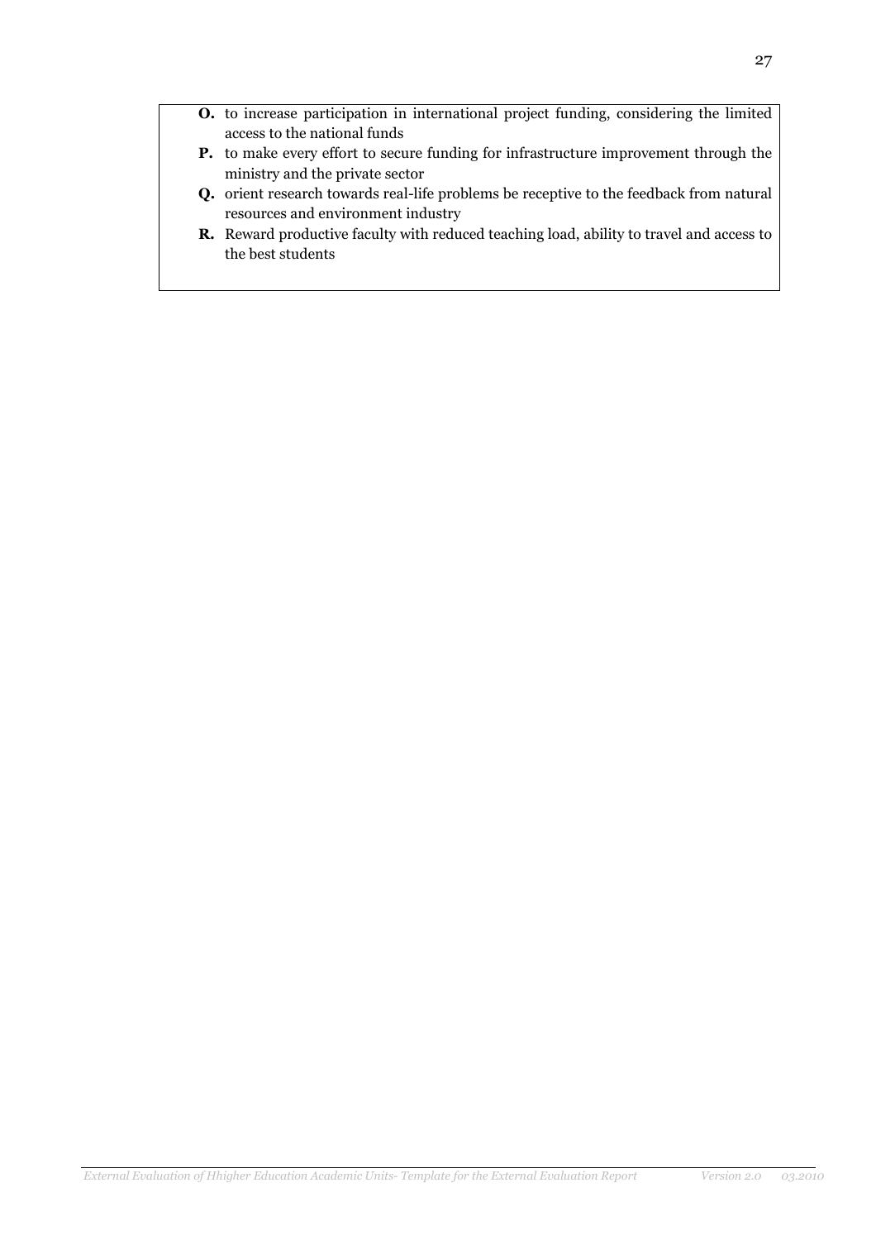- O. to increase participation in international project funding, considering the limited access to the national funds
- P. to make every effort to secure funding for infrastructure improvement through the ministry and the private sector
- Q. orient research towards real-life problems be receptive to the feedback from natural resources and environment industry
- R. Reward productive faculty with reduced teaching load, ability to travel and access to the best students